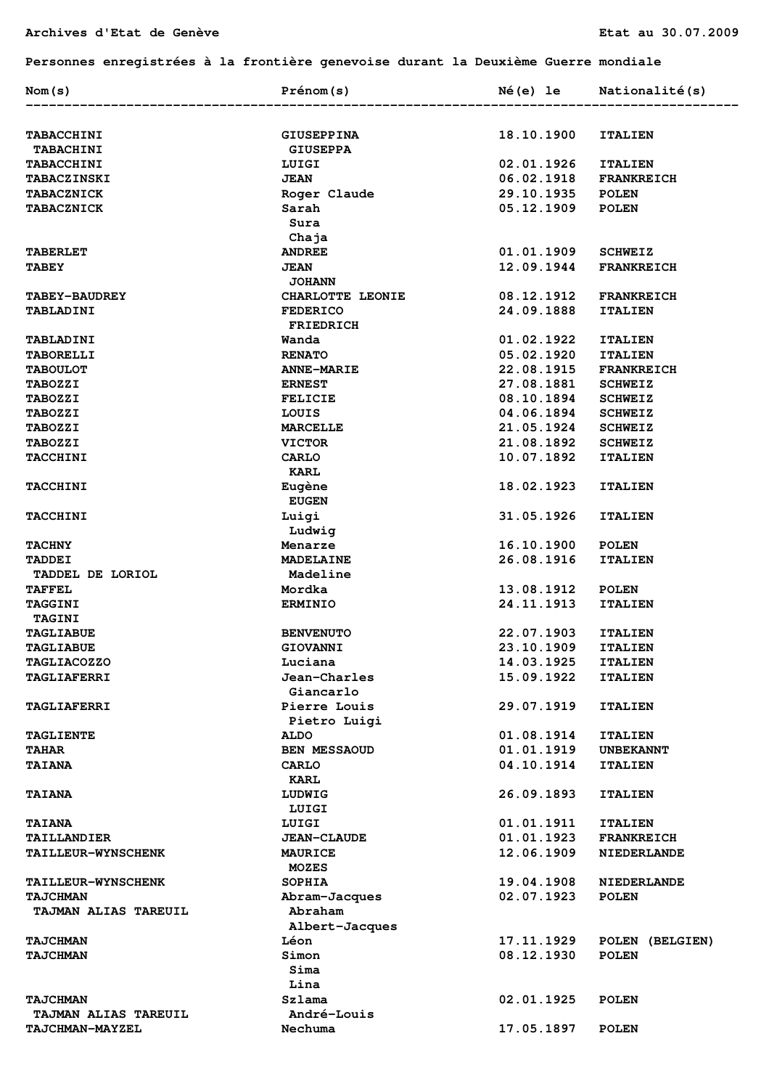## **Personnes enregistrées à la frontière genevoise durant la Deuxième Guerre mondiale**

| Nom(s)                            | Prénom(s)                           | Né(e) le                 | Nationalité(s)     |
|-----------------------------------|-------------------------------------|--------------------------|--------------------|
|                                   |                                     |                          |                    |
| TABACCHINI                        | <b>GIUSEPPINA</b>                   | 18.10.1900               | <b>ITALIEN</b>     |
| <b>TABACHINI</b>                  | <b>GIUSEPPA</b>                     |                          |                    |
| TABACCHINI                        | LUIGI                               | 02.01.1926               | <b>ITALIEN</b>     |
| <b>TABACZINSKI</b>                | <b>JEAN</b>                         | 06.02.1918               | <b>FRANKREICH</b>  |
| <b>TABACZNICK</b>                 | Roger Claude<br>Sarah               | 29.10.1935               | <b>POLEN</b>       |
| <b>TABACZNICK</b>                 | Sura                                | 05.12.1909               | <b>POLEN</b>       |
|                                   | Chaja                               |                          |                    |
| <b>TABERLET</b>                   | <b>ANDREE</b>                       | 01.01.1909               | <b>SCHWEIZ</b>     |
| <b>TABEY</b>                      | <b>JEAN</b><br><b>JOHANN</b>        | 12.09.1944               | <b>FRANKREICH</b>  |
| <b>TABEY-BAUDREY</b>              | CHARLOTTE LEONIE                    | 08.12.1912               | <b>FRANKREICH</b>  |
| TABLADINI                         | <b>FEDERICO</b><br><b>FRIEDRICH</b> | 24.09.1888               | <b>ITALIEN</b>     |
| <b>TABLADINI</b>                  | Wanda                               | 01.02.1922               | <b>ITALIEN</b>     |
| <b>TABORELLI</b>                  | <b>RENATO</b>                       | 05.02.1920               | <b>ITALIEN</b>     |
| <b>TABOULOT</b>                   | <b>ANNE-MARIE</b>                   | 22.08.1915               | <b>FRANKREICH</b>  |
| <b>TABOZZI</b>                    | <b>ERNEST</b>                       | 27.08.1881               | <b>SCHWEIZ</b>     |
| <b>TABOZZI</b>                    | <b>FELICIE</b>                      | 08.10.1894               | <b>SCHWEIZ</b>     |
| <b>TABOZZI</b>                    | LOUIS                               | 04.06.1894               | <b>SCHWEIZ</b>     |
| <b>TABOZZI</b>                    | <b>MARCELLE</b>                     | 21.05.1924               | <b>SCHWEIZ</b>     |
| <b>TABOZZI</b>                    | <b>VICTOR</b>                       | 21.08.1892               | <b>SCHWEIZ</b>     |
| <b>TACCHINI</b>                   | <b>CARLO</b><br><b>KARL</b>         | 10.07.1892               | <b>ITALIEN</b>     |
| <b>TACCHINI</b>                   | Eugène<br><b>EUGEN</b>              | 18.02.1923               | <b>ITALIEN</b>     |
| <b>TACCHINI</b>                   | Luigi<br>Ludwig                     | 31.05.1926               | <b>ITALIEN</b>     |
| <b>TACHNY</b>                     | Menarze                             | 16.10.1900               | <b>POLEN</b>       |
| <b>TADDEI</b><br>TADDEL DE LORIOL | <b>MADELAINE</b><br>Madeline        | 26.08.1916               | <b>ITALIEN</b>     |
| <b>TAFFEL</b>                     | Mordka                              |                          | <b>POLEN</b>       |
| <b>TAGGINI</b>                    | <b>ERMINIO</b>                      | 13.08.1912<br>24.11.1913 | <b>ITALIEN</b>     |
| <b>TAGINI</b>                     |                                     |                          |                    |
| <b>TAGLIABUE</b>                  | <b>BENVENUTO</b>                    | 22.07.1903               | <b>ITALIEN</b>     |
| <b>TAGLIABUE</b>                  | <b>GIOVANNI</b>                     | 23.10.1909               | <b>ITALIEN</b>     |
| <b>TAGLIACOZZO</b>                | Luciana                             | 14.03.1925               | <b>ITALIEN</b>     |
| TAGLIAFERRI                       | Jean-Charles                        | 15.09.1922               | <b>ITALIEN</b>     |
|                                   | Giancarlo                           |                          |                    |
| <b>TAGLIAFERRI</b>                | Pierre Louis<br>Pietro Luigi        | 29.07.1919               | <b>ITALIEN</b>     |
| <b>TAGLIENTE</b>                  | <b>ALDO</b>                         | 01.08.1914               | <b>ITALIEN</b>     |
| <b>TAHAR</b>                      | BEN MESSAOUD                        | 01.01.1919               | <b>UNBEKANNT</b>   |
| <b>TAIANA</b>                     | <b>CARLO</b><br><b>KARL</b>         | 04.10.1914               | <b>ITALIEN</b>     |
| <b>TAIANA</b>                     | LUDWIG<br>LUIGI                     | 26.09.1893               | <b>ITALIEN</b>     |
| <b>TAIANA</b>                     | LUIGI                               | 01.01.1911               | <b>ITALIEN</b>     |
| <b>TAILLANDIER</b>                | <b>JEAN-CLAUDE</b>                  | 01.01.1923               | <b>FRANKREICH</b>  |
| <b>TAILLEUR-WYNSCHENK</b>         | <b>MAURICE</b><br><b>MOZES</b>      | 12.06.1909               | <b>NIEDERLANDE</b> |
| <b>TAILLEUR-WYNSCHENK</b>         | <b>SOPHIA</b>                       | 19.04.1908               | <b>NIEDERLANDE</b> |
| <b>TAJCHMAN</b>                   | Abram-Jacques                       | 02.07.1923               | <b>POLEN</b>       |
| TAJMAN ALIAS TAREUIL              | Abraham<br>Albert-Jacques           |                          |                    |
| <b>TAJCHMAN</b>                   | Léon                                | 17.11.1929               | POLEN (BELGIEN)    |
| <b>TAJCHMAN</b>                   | Simon<br>Sima                       | 08.12.1930               | <b>POLEN</b>       |
|                                   | Lina                                |                          |                    |
| <b>TAJCHMAN</b>                   | Szlama                              | 02.01.1925               | <b>POLEN</b>       |
| <b>TAJMAN ALIAS TAREUIL</b>       | André-Louis                         |                          |                    |
| TAJCHMAN-MAYZEL                   | Nechuma                             | 17.05.1897               | <b>POLEN</b>       |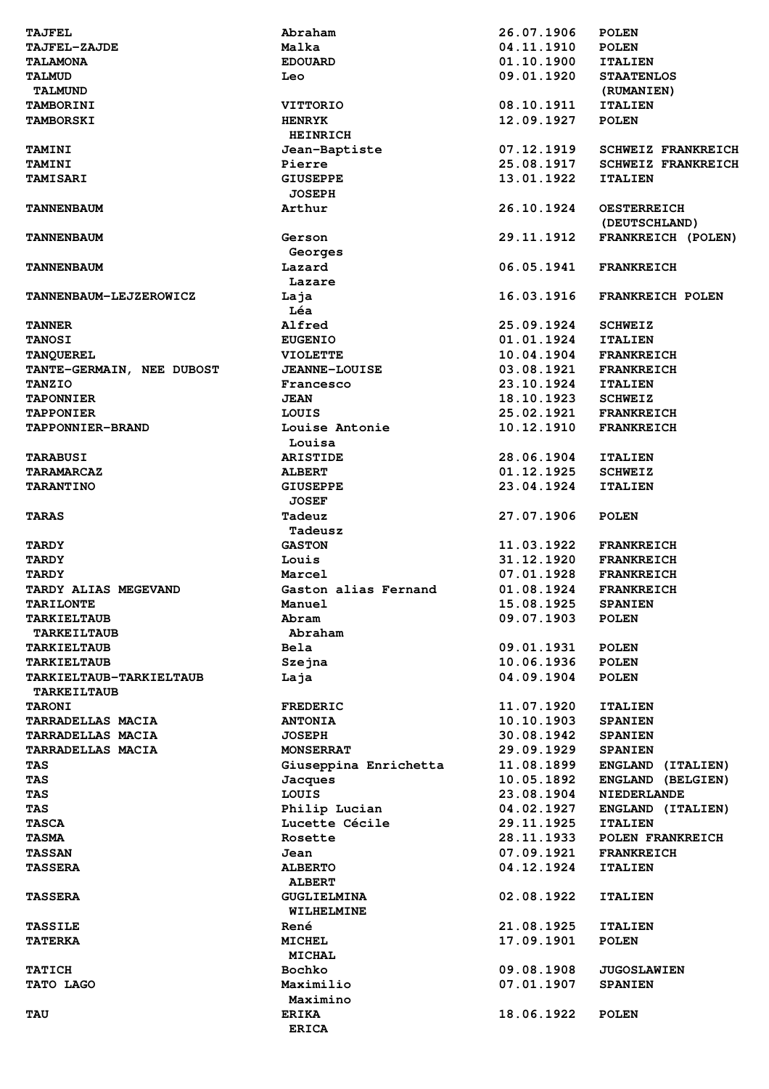| <b>TAJFEL</b>                  | Abraham                | 26.07.1906               | <b>POLEN</b>                           |
|--------------------------------|------------------------|--------------------------|----------------------------------------|
| <b>TAJFEL-ZAJDE</b>            | Malka                  | 04.11.1910               | <b>POLEN</b>                           |
| <b>TALAMONA</b>                | <b>EDOUARD</b>         | 01.10.1900               | <b>ITALIEN</b>                         |
| <b>TALMUD</b>                  | Leo                    | 09.01.1920               | <b>STAATENLOS</b>                      |
| <b>TALMUND</b>                 |                        |                          | (RUMANIEN)                             |
| <b>TAMBORINI</b>               | <b>VITTORIO</b>        | 08.10.1911               | <b>ITALIEN</b>                         |
| <b>TAMBORSKI</b>               | <b>HENRYK</b>          | 12.09.1927               | <b>POLEN</b>                           |
|                                | <b>HEINRICH</b>        |                          |                                        |
| <b>TAMINI</b>                  | Jean-Baptiste          | 07.12.1919               | <b>SCHWEIZ FRANKREICH</b>              |
| <b>TAMINI</b>                  | Pierre                 | 25.08.1917               | <b>SCHWEIZ FRANKREICH</b>              |
| <b>TAMISARI</b>                | <b>GIUSEPPE</b>        | 13.01.1922               | <b>ITALIEN</b>                         |
|                                | <b>JOSEPH</b>          |                          |                                        |
| <b>TANNENBAUM</b>              | Arthur                 | 26.10.1924               | <b>OESTERREICH</b>                     |
| <b>TANNENBAUM</b>              | Gerson                 | 29.11.1912               | (DEUTSCHLAND)<br>FRANKREICH (POLEN)    |
|                                | Georges                |                          |                                        |
| <b>TANNENBAUM</b>              | Lazard                 | 06.05.1941               | <b>FRANKREICH</b>                      |
|                                | Lazare                 |                          |                                        |
| TANNENBAUM-LEJZEROWICZ         | Laja                   | 16.03.1916               | FRANKREICH POLEN                       |
|                                | Léa                    |                          |                                        |
| <b>TANNER</b>                  | Alfred                 | 25.09.1924               | <b>SCHWEIZ</b>                         |
| <b>TANOSI</b>                  | <b>EUGENIO</b>         | 01.01.1924               | <b>ITALIEN</b>                         |
| <b>TANQUEREL</b>               | <b>VIOLETTE</b>        | 10.04.1904               | <b>FRANKREICH</b>                      |
| TANTE-GERMAIN, NEE DUBOST      | <b>JEANNE-LOUISE</b>   | 03.08.1921               | <b>FRANKREICH</b>                      |
| <b>TANZIO</b>                  | Francesco              | 23.10.1924               | <b>ITALIEN</b>                         |
| <b>TAPONNIER</b>               | <b>JEAN</b>            | 18.10.1923               | <b>SCHWEIZ</b>                         |
| <b>TAPPONIER</b>               | LOUIS                  | 25.02.1921               | <b>FRANKREICH</b>                      |
| TAPPONNIER-BRAND               | Louise Antonie         | 10.12.1910               | <b>FRANKREICH</b>                      |
|                                | Louisa                 |                          |                                        |
| <b>TARABUSI</b>                | <b>ARISTIDE</b>        | 28.06.1904               | <b>ITALIEN</b>                         |
| <b>TARAMARCAZ</b>              | <b>ALBERT</b>          | 01.12.1925               | <b>SCHWEIZ</b>                         |
| <b>TARANTINO</b>               | <b>GIUSEPPE</b>        | 23.04.1924               | <b>ITALIEN</b>                         |
|                                | <b>JOSEF</b>           |                          |                                        |
| <b>TARAS</b>                   | Tadeuz                 | 27.07.1906               | <b>POLEN</b>                           |
|                                | Tadeusz                |                          |                                        |
| <b>TARDY</b>                   | <b>GASTON</b>          | 11.03.1922<br>31.12.1920 | <b>FRANKREICH</b>                      |
| <b>TARDY</b><br><b>TARDY</b>   | Louis<br>Marcel        | 07.01.1928               | <b>FRANKREICH</b><br><b>FRANKREICH</b> |
| <b>TARDY ALIAS MEGEVAND</b>    | Gaston alias Fernand   | 01.08.1924               | <b>FRANKREICH</b>                      |
| <b>TARILONTE</b>               | Manuel                 | 15.08.1925               | <b>SPANIEN</b>                         |
| <b>TARKIELTAUB</b>             | Abram                  | 09.07.1903               | <b>POLEN</b>                           |
| <b>TARKEILTAUB</b>             | Abraham                |                          |                                        |
| <b>TARKIELTAUB</b>             | <b>Bela</b>            | 09.01.1931               | <b>POLEN</b>                           |
| <b>TARKIELTAUB</b>             | Szejna                 | 10.06.1936               | <b>POLEN</b>                           |
| <b>TARKIELTAUB-TARKIELTAUB</b> | Laja                   | 04.09.1904               | <b>POLEN</b>                           |
| <b>TARKEILTAUB</b>             |                        |                          |                                        |
| <b>TARONI</b>                  | <b>FREDERIC</b>        | 11.07.1920               | <b>ITALIEN</b>                         |
| <b>TARRADELLAS MACIA</b>       | <b>ANTONIA</b>         | 10.10.1903               | <b>SPANIEN</b>                         |
| <b>TARRADELLAS MACIA</b>       | <b>JOSEPH</b>          | 30.08.1942               | <b>SPANIEN</b>                         |
| <b>TARRADELLAS MACIA</b>       | <b>MONSERRAT</b>       | 29.09.1929               | <b>SPANIEN</b>                         |
| TAS                            | Giuseppina Enrichetta  | 11.08.1899               | ENGLAND (ITALIEN)                      |
| TAS                            | Jacques                | 10.05.1892               | ENGLAND (BELGIEN)                      |
| <b>TAS</b>                     | LOUIS                  | 23.08.1904               | <b>NIEDERLANDE</b>                     |
| TAS                            | Philip Lucian          | 04.02.1927               | ENGLAND (ITALIEN)                      |
| <b>TASCA</b>                   | Lucette Cécile         | 29.11.1925               | <b>ITALIEN</b>                         |
| <b>TASMA</b><br><b>TASSAN</b>  | Rosette                | 28.11.1933               | POLEN FRANKREICH                       |
| <b>TASSERA</b>                 | Jean<br><b>ALBERTO</b> | 07.09.1921<br>04.12.1924 | <b>FRANKREICH</b><br><b>ITALIEN</b>    |
|                                | <b>ALBERT</b>          |                          |                                        |
| <b>TASSERA</b>                 | <b>GUGLIELMINA</b>     | 02.08.1922               | <b>ITALIEN</b>                         |
|                                | WILHELMINE             |                          |                                        |
| <b>TASSILE</b>                 | René                   | 21.08.1925               | <b>ITALIEN</b>                         |
| <b>TATERKA</b>                 | <b>MICHEL</b>          | 17.09.1901               | <b>POLEN</b>                           |
|                                | <b>MICHAL</b>          |                          |                                        |
| <b>TATICH</b>                  | Bochko                 | 09.08.1908               | <b>JUGOSLAWIEN</b>                     |
| TATO LAGO                      | Maximilio              | 07.01.1907               | <b>SPANIEN</b>                         |
|                                | Maximino               |                          |                                        |
| <b>TAU</b>                     | <b>ERIKA</b>           | 18.06.1922               | <b>POLEN</b>                           |
|                                | <b>ERICA</b>           |                          |                                        |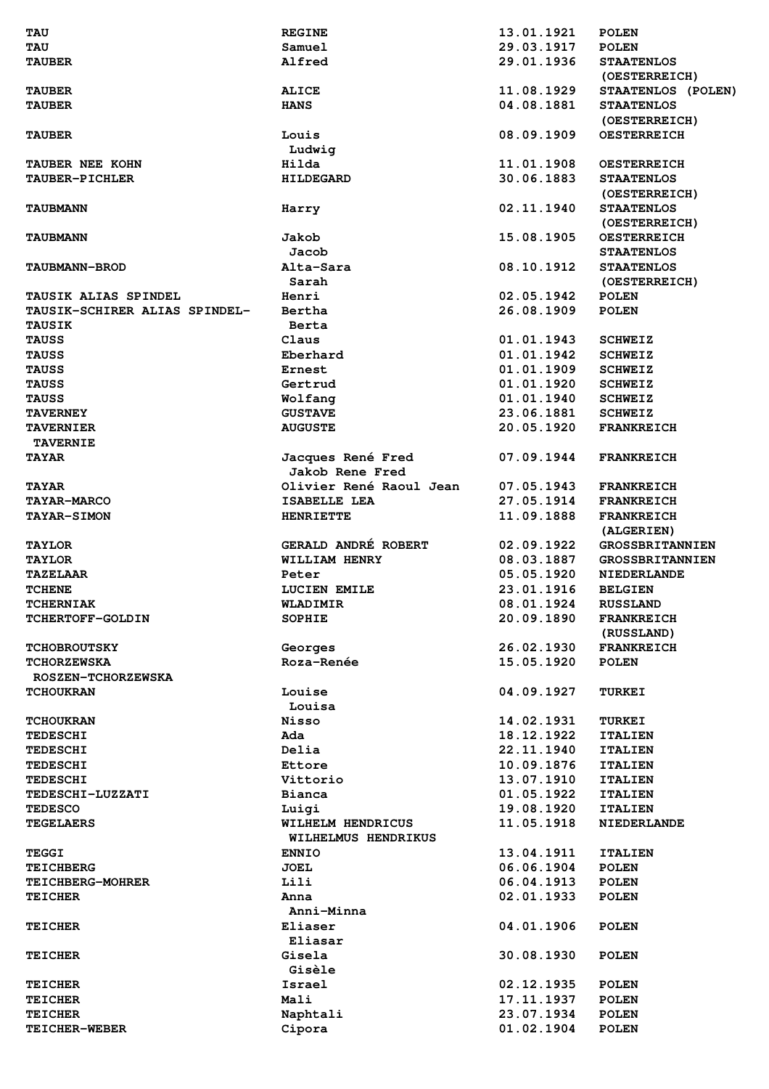| <b>TAU</b>                      | <b>REGINE</b>           | 13.01.1921               | <b>POLEN</b>                 |
|---------------------------------|-------------------------|--------------------------|------------------------------|
| <b>TAU</b>                      | Samuel                  | 29.03.1917               | <b>POLEN</b>                 |
| <b>TAUBER</b>                   | Alfred                  | 29.01.1936               | <b>STAATENLOS</b>            |
|                                 |                         |                          | (OESTERREICH)                |
|                                 |                         | 11.08.1929               |                              |
| <b>TAUBER</b>                   | <b>ALICE</b>            |                          | STAATENLOS (POLEN)           |
| <b>TAUBER</b>                   | <b>HANS</b>             | 04.08.1881               | <b>STAATENLOS</b>            |
|                                 |                         |                          | (OESTERREICH)                |
| <b>TAUBER</b>                   | Louis                   | 08.09.1909               | <b>OESTERREICH</b>           |
|                                 | Ludwig                  |                          |                              |
| TAUBER NEE KOHN                 | Hilda                   | 11.01.1908               | <b>OESTERREICH</b>           |
| TAUBER-PICHLER                  | <b>HILDEGARD</b>        | 30.06.1883               | <b>STAATENLOS</b>            |
|                                 |                         |                          | (OESTERREICH)                |
|                                 |                         |                          |                              |
| <b>TAUBMANN</b>                 | Harry                   | 02.11.1940               | <b>STAATENLOS</b>            |
|                                 |                         |                          | (OESTERREICH)                |
| <b>TAUBMANN</b>                 | Jakob                   | 15.08.1905               | <b>OESTERREICH</b>           |
|                                 | Jacob                   |                          | <b>STAATENLOS</b>            |
| <b>TAUBMANN-BROD</b>            | Alta-Sara               | 08.10.1912               | <b>STAATENLOS</b>            |
|                                 | Sarah                   |                          | (OESTERREICH)                |
| TAUSIK ALIAS SPINDEL            | Henri                   | 02.05.1942               | <b>POLEN</b>                 |
|                                 |                         |                          |                              |
| TAUSIK-SCHIRER ALIAS SPINDEL-   | Bertha                  | 26.08.1909               | <b>POLEN</b>                 |
| <b>TAUSIK</b>                   | Berta                   |                          |                              |
| <b>TAUSS</b>                    | Claus                   | 01.01.1943               | <b>SCHWEIZ</b>               |
| <b>TAUSS</b>                    | Eberhard                | 01.01.1942               | <b>SCHWEIZ</b>               |
| <b>TAUSS</b>                    | Ernest                  | 01.01.1909               | <b>SCHWEIZ</b>               |
| <b>TAUSS</b>                    | Gertrud                 | 01.01.1920               |                              |
|                                 |                         |                          | <b>SCHWEIZ</b>               |
| <b>TAUSS</b>                    | Wolfang                 | 01.01.1940               | <b>SCHWEIZ</b>               |
| <b>TAVERNEY</b>                 | <b>GUSTAVE</b>          | 23.06.1881               | <b>SCHWEIZ</b>               |
| <b>TAVERNIER</b>                | <b>AUGUSTE</b>          | 20.05.1920               | <b>FRANKREICH</b>            |
| <b>TAVERNIE</b>                 |                         |                          |                              |
| <b>TAYAR</b>                    | Jacques René Fred       | 07.09.1944               | <b>FRANKREICH</b>            |
|                                 | <b>Jakob Rene Fred</b>  |                          |                              |
|                                 |                         |                          |                              |
| <b>TAYAR</b>                    | Olivier René Raoul Jean | 07.05.1943               | <b>FRANKREICH</b>            |
| <b>TAYAR-MARCO</b>              | ISABELLE LEA            | 27.05.1914               | <b>FRANKREICH</b>            |
| <b>TAYAR-SIMON</b>              | <b>HENRIETTE</b>        | 11.09.1888               | <b>FRANKREICH</b>            |
|                                 |                         |                          | (ALGERIEN)                   |
| <b>TAYLOR</b>                   | GERALD ANDRÉ ROBERT     | 02.09.1922               | <b>GROSSBRITANNIEN</b>       |
|                                 |                         |                          |                              |
| <b>TAYLOR</b>                   | WILLIAM HENRY           | 08.03.1887               | <b>GROSSBRITANNIEN</b>       |
| <b>TAZELAAR</b>                 | Peter                   | 05.05.1920               | <b>NIEDERLANDE</b>           |
| <b>TCHENE</b>                   | LUCIEN EMILE            | 23.01.1916               | <b>BELGIEN</b>               |
| <b>TCHERNIAK</b>                | WLADIMIR                | 08.01.1924               | <b>RUSSLAND</b>              |
| <b>TCHERTOFF-GOLDIN</b>         | <b>SOPHIE</b>           | 20.09.1890               | <b>FRANKREICH</b>            |
|                                 |                         |                          | (RUSSLAND)                   |
|                                 |                         |                          |                              |
| <b>TCHOBROUTSKY</b>             | Georges                 | 26.02.1930               | <b>FRANKREICH</b>            |
| <b>TCHORZEWSKA</b>              | Roza-Renée              | 15.05.1920               | <b>POLEN</b>                 |
| <b>ROSZEN-TCHORZEWSKA</b>       |                         |                          |                              |
| <b>TCHOUKRAN</b>                | Louise                  | 04.09.1927               | <b>TURKEI</b>                |
|                                 | Louisa                  |                          |                              |
|                                 |                         |                          |                              |
|                                 |                         |                          |                              |
| <b>TCHOUKRAN</b>                | Nisso                   | 14.02.1931               | <b>TURKEI</b>                |
| <b>TEDESCHI</b>                 | Ada                     | 18.12.1922               | <b>ITALIEN</b>               |
| <b>TEDESCHI</b>                 | Delia                   | 22.11.1940               | <b>ITALIEN</b>               |
| <b>TEDESCHI</b>                 | Ettore                  | 10.09.1876               | <b>ITALIEN</b>               |
| <b>TEDESCHI</b>                 | Vittorio                | 13.07.1910               | <b>ITALIEN</b>               |
| TEDESCHI-LUZZATI                | Bianca                  |                          | <b>ITALIEN</b>               |
|                                 |                         | 01.05.1922               |                              |
| <b>TEDESCO</b>                  | Luigi                   | 19.08.1920               | <b>ITALIEN</b>               |
| <b>TEGELAERS</b>                | WILHELM HENDRICUS       | 11.05.1918               | <b>NIEDERLANDE</b>           |
|                                 | WILHELMUS HENDRIKUS     |                          |                              |
| TEGGI                           | <b>ENNIO</b>            | 13.04.1911               | <b>ITALIEN</b>               |
| <b>TEICHBERG</b>                | <b>JOEL</b>             | 06.06.1904               | <b>POLEN</b>                 |
| <b>TEICHBERG-MOHRER</b>         | Lili                    | 06.04.1913               | <b>POLEN</b>                 |
|                                 | Anna                    |                          |                              |
| <b>TEICHER</b>                  |                         | 02.01.1933               | <b>POLEN</b>                 |
|                                 | Anni-Minna              |                          |                              |
| <b>TEICHER</b>                  | Eliaser                 | 04.01.1906               | <b>POLEN</b>                 |
|                                 | Eliasar                 |                          |                              |
| <b>TEICHER</b>                  | Gisela                  | 30.08.1930               | <b>POLEN</b>                 |
|                                 | Gisèle                  |                          |                              |
|                                 |                         |                          |                              |
| <b>TEICHER</b>                  | Israel                  | 02.12.1935               | <b>POLEN</b>                 |
| <b>TEICHER</b>                  | Mali                    | 17.11.1937               | <b>POLEN</b>                 |
| <b>TEICHER</b><br>TEICHER-WEBER | Naphtali<br>Cipora      | 23.07.1934<br>01.02.1904 | <b>POLEN</b><br><b>POLEN</b> |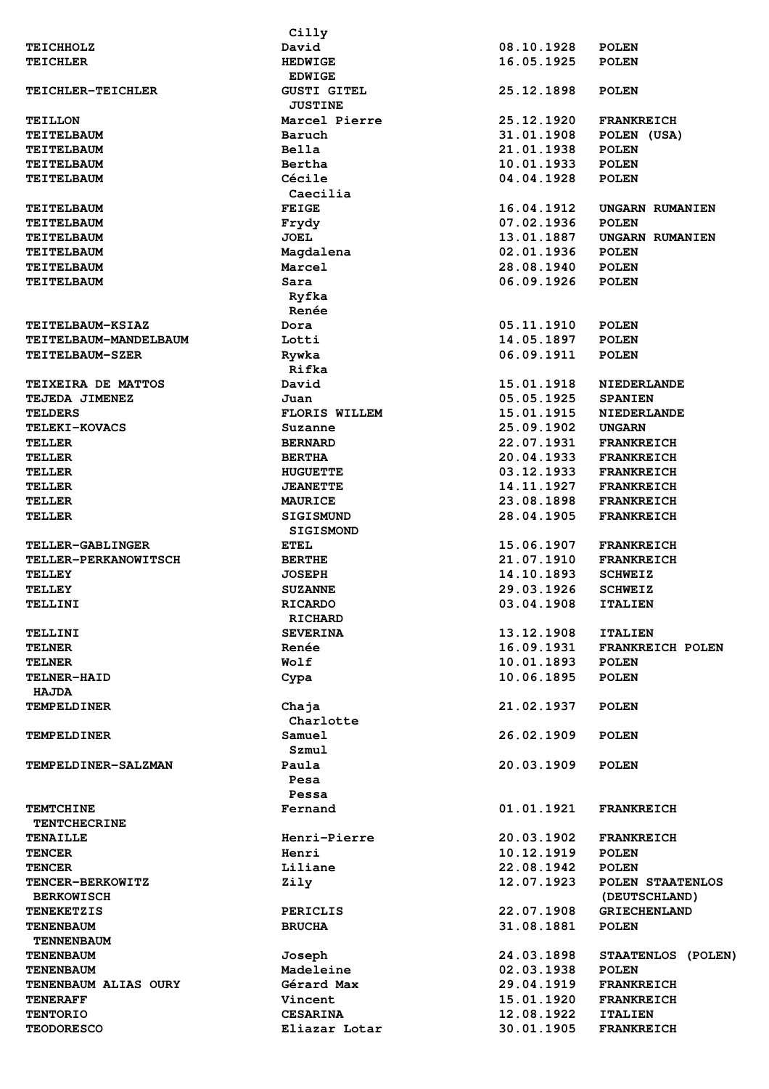|                             | Cilly                |            |                         |
|-----------------------------|----------------------|------------|-------------------------|
| <b>TEICHHOLZ</b>            | David                | 08.10.1928 | <b>POLEN</b>            |
| <b>TEICHLER</b>             | <b>HEDWIGE</b>       | 16.05.1925 | <b>POLEN</b>            |
|                             | <b>EDWIGE</b>        |            |                         |
| TEICHLER-TEICHLER           | <b>GUSTI GITEL</b>   | 25.12.1898 | <b>POLEN</b>            |
|                             |                      |            |                         |
|                             | <b>JUSTINE</b>       |            |                         |
| <b>TEILLON</b>              | Marcel Pierre        | 25.12.1920 | <b>FRANKREICH</b>       |
| <b>TEITELBAUM</b>           | Baruch               | 31.01.1908 | POLEN (USA)             |
| <b>TEITELBAUM</b>           | Bella                | 21.01.1938 | <b>POLEN</b>            |
| <b>TEITELBAUM</b>           | Bertha               | 10.01.1933 | <b>POLEN</b>            |
| <b>TEITELBAUM</b>           | Cécile               | 04.04.1928 | <b>POLEN</b>            |
|                             | Caecilia             |            |                         |
|                             |                      |            |                         |
| <b>TEITELBAUM</b>           | <b>FEIGE</b>         | 16.04.1912 | UNGARN RUMANIEN         |
| <b>TEITELBAUM</b>           | Frydy                | 07.02.1936 | <b>POLEN</b>            |
| <b>TEITELBAUM</b>           | <b>JOEL</b>          | 13.01.1887 | UNGARN RUMANIEN         |
| <b>TEITELBAUM</b>           | Magdalena            | 02.01.1936 | <b>POLEN</b>            |
| <b>TEITELBAUM</b>           | Marcel               | 28.08.1940 | <b>POLEN</b>            |
| <b>TEITELBAUM</b>           | Sara                 | 06.09.1926 | <b>POLEN</b>            |
|                             |                      |            |                         |
|                             | Ryfka                |            |                         |
|                             | Renée                |            |                         |
| <b>TEITELBAUM-KSIAZ</b>     | Dora                 | 05.11.1910 | <b>POLEN</b>            |
| TEITELBAUM-MANDELBAUM       | Lotti                | 14.05.1897 | <b>POLEN</b>            |
| TEITELBAUM-SZER             | Rywka                | 06.09.1911 | <b>POLEN</b>            |
|                             | Rifka                |            |                         |
|                             |                      |            |                         |
| TEIXEIRA DE MATTOS          | David                | 15.01.1918 | <b>NIEDERLANDE</b>      |
| TEJEDA JIMENEZ              | Juan                 | 05.05.1925 | <b>SPANIEN</b>          |
| <b>TELDERS</b>              | <b>FLORIS WILLEM</b> | 15.01.1915 | <b>NIEDERLANDE</b>      |
| <b>TELEKI-KOVACS</b>        | Suzanne              | 25.09.1902 | <b>UNGARN</b>           |
| <b>TELLER</b>               | <b>BERNARD</b>       | 22.07.1931 | <b>FRANKREICH</b>       |
|                             |                      |            |                         |
| <b>TELLER</b>               | <b>BERTHA</b>        | 20.04.1933 | <b>FRANKREICH</b>       |
| <b>TELLER</b>               | <b>HUGUETTE</b>      | 03.12.1933 | <b>FRANKREICH</b>       |
| <b>TELLER</b>               | <b>JEANETTE</b>      | 14.11.1927 | <b>FRANKREICH</b>       |
| <b>TELLER</b>               | <b>MAURICE</b>       | 23.08.1898 | <b>FRANKREICH</b>       |
| TELLER                      | <b>SIGISMUND</b>     | 28.04.1905 | <b>FRANKREICH</b>       |
|                             | <b>SIGISMOND</b>     |            |                         |
|                             |                      |            |                         |
| TELLER-GABLINGER            | <b>ETEL</b>          | 15.06.1907 | <b>FRANKREICH</b>       |
| <b>TELLER-PERKANOWITSCH</b> | <b>BERTHE</b>        | 21.07.1910 | <b>FRANKREICH</b>       |
| <b>TELLEY</b>               | <b>JOSEPH</b>        | 14.10.1893 | <b>SCHWEIZ</b>          |
| <b>TELLEY</b>               | <b>SUZANNE</b>       | 29.03.1926 | <b>SCHWEIZ</b>          |
| TELLINI                     | <b>RICARDO</b>       | 03.04.1908 | <b>ITALIEN</b>          |
|                             | <b>RICHARD</b>       |            |                         |
|                             |                      |            |                         |
| TELLINI                     | <b>SEVERINA</b>      | 13.12.1908 | <b>ITALIEN</b>          |
| <b>TELNER</b>               | Renée                | 16.09.1931 | <b>FRANKREICH POLEN</b> |
| <b>TELNER</b>               | Wolf                 | 10.01.1893 | <b>POLEN</b>            |
| TELNER-HAID                 | Cypa                 | 10.06.1895 | <b>POLEN</b>            |
| <b>HAJDA</b>                |                      |            |                         |
|                             |                      |            |                         |
| <b>TEMPELDINER</b>          | Chaja                | 21.02.1937 | <b>POLEN</b>            |
|                             | Charlotte            |            |                         |
| <b>TEMPELDINER</b>          | Samuel               | 26.02.1909 | <b>POLEN</b>            |
|                             | Szmul                |            |                         |
| TEMPELDINER-SALZMAN         | Paula                | 20.03.1909 | <b>POLEN</b>            |
|                             | Pesa                 |            |                         |
|                             |                      |            |                         |
|                             | Pessa                |            |                         |
| <b>TEMTCHINE</b>            | Fernand              | 01.01.1921 | <b>FRANKREICH</b>       |
| <b>TENTCHECRINE</b>         |                      |            |                         |
| <b>TENAILLE</b>             | Henri-Pierre         | 20.03.1902 | <b>FRANKREICH</b>       |
| <b>TENCER</b>               | Henri                | 10.12.1919 | <b>POLEN</b>            |
| <b>TENCER</b>               | Liliane              | 22.08.1942 | <b>POLEN</b>            |
|                             |                      |            |                         |
| TENCER-BERKOWITZ            | Zily                 | 12.07.1923 | POLEN STAATENLOS        |
| <b>BERKOWISCH</b>           |                      |            | (DEUTSCHLAND)           |
| <b>TENEKETZIS</b>           | <b>PERICLIS</b>      | 22.07.1908 | <b>GRIECHENLAND</b>     |
| <b>TENENBAUM</b>            | <b>BRUCHA</b>        | 31.08.1881 | <b>POLEN</b>            |
| <b>TENNENBAUM</b>           |                      |            |                         |
|                             |                      |            |                         |
| <b>TENENBAUM</b>            | Joseph               | 24.03.1898 | STAATENLOS (POLEN)      |
| <b>TENENBAUM</b>            | Madeleine            | 02.03.1938 | <b>POLEN</b>            |
| TENENBAUM ALIAS OURY        | Gérard Max           | 29.04.1919 | <b>FRANKREICH</b>       |
| <b>TENERAFF</b>             | Vincent              | 15.01.1920 | <b>FRANKREICH</b>       |
| <b>TENTORIO</b>             | <b>CESARINA</b>      | 12.08.1922 | <b>ITALIEN</b>          |
| <b>TEODORESCO</b>           | Eliazar Lotar        | 30.01.1905 | <b>FRANKREICH</b>       |
|                             |                      |            |                         |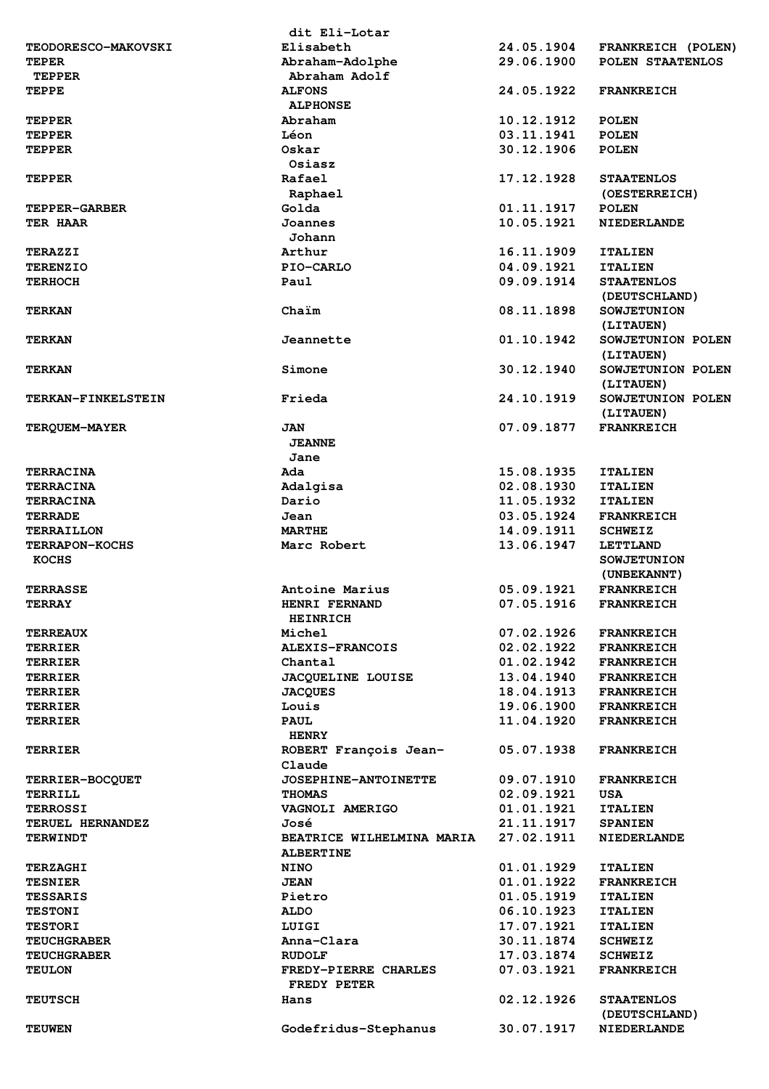|                            | dit Eli-Lotar                                 |            |                                    |
|----------------------------|-----------------------------------------------|------------|------------------------------------|
| <b>TEODORESCO-MAKOVSKI</b> | Elisabeth                                     | 24.05.1904 | FRANKREICH (POLEN)                 |
| <b>TEPER</b>               | Abraham-Adolphe                               | 29.06.1900 | POLEN STAATENLOS                   |
| <b>TEPPER</b>              | Abraham Adolf                                 |            |                                    |
| <b>TEPPE</b>               | <b>ALFONS</b><br><b>ALPHONSE</b>              | 24.05.1922 | <b>FRANKREICH</b>                  |
| TEPPER                     | Abraham                                       | 10.12.1912 | <b>POLEN</b>                       |
| <b>TEPPER</b>              | Léon                                          | 03.11.1941 | <b>POLEN</b>                       |
| <b>TEPPER</b>              | Oskar<br>Osiasz                               | 30.12.1906 | <b>POLEN</b>                       |
| <b>TEPPER</b>              | Rafael                                        | 17.12.1928 | <b>STAATENLOS</b>                  |
|                            | Raphael                                       |            | (OESTERREICH)                      |
| <b>TEPPER-GARBER</b>       | Golda                                         | 01.11.1917 | <b>POLEN</b>                       |
| <b>TER HAAR</b>            | Joannes                                       | 10.05.1921 | <b>NIEDERLANDE</b>                 |
|                            | Johann                                        |            |                                    |
| <b>TERAZZI</b>             | Arthur                                        | 16.11.1909 | <b>ITALIEN</b>                     |
| <b>TERENZIO</b>            | PIO-CARLO                                     | 04.09.1921 | <b>ITALIEN</b>                     |
| <b>TERHOCH</b>             | Paul                                          | 09.09.1914 | <b>STAATENLOS</b><br>(DEUTSCHLAND) |
| <b>TERKAN</b>              | Chaim                                         | 08.11.1898 | <b>SOWJETUNION</b><br>(LITAUEN)    |
| <b>TERKAN</b>              | Jeannette                                     | 01.10.1942 | SOWJETUNION POLEN<br>(LITAUEN)     |
| <b>TERKAN</b>              | Simone                                        | 30.12.1940 | SOWJETUNION POLEN<br>(LITAUEN)     |
| <b>TERKAN-FINKELSTEIN</b>  | Frieda                                        | 24.10.1919 | SOWJETUNION POLEN<br>(LITAUEN)     |
| TERQUEM-MAYER              | <b>JAN</b>                                    | 07.09.1877 | <b>FRANKREICH</b>                  |
|                            | <b>JEANNE</b>                                 |            |                                    |
|                            | Jane                                          |            |                                    |
| <b>TERRACINA</b>           | Ada                                           | 15.08.1935 | <b>ITALIEN</b>                     |
| <b>TERRACINA</b>           | Adalgisa                                      | 02.08.1930 | <b>ITALIEN</b>                     |
| <b>TERRACINA</b>           | Dario                                         | 11.05.1932 | <b>ITALIEN</b>                     |
| <b>TERRADE</b>             | Jean                                          | 03.05.1924 | <b>FRANKREICH</b>                  |
| <b>TERRAILLON</b>          | <b>MARTHE</b>                                 | 14.09.1911 | <b>SCHWEIZ</b>                     |
| <b>TERRAPON-KOCHS</b>      | Marc Robert                                   | 13.06.1947 | <b>LETTLAND</b>                    |
| <b>KOCHS</b>               |                                               |            | <b>SOWJETUNION</b><br>(UNBEKANNT)  |
| <b>TERRASSE</b>            | Antoine Marius                                | 05.09.1921 | <b>FRANKREICH</b>                  |
| <b>TERRAY</b>              | HENRI FERNAND<br><b>HEINRICH</b>              | 07.05.1916 | <b>FRANKREICH</b>                  |
| <b>TERREAUX</b>            | Michel                                        | 07.02.1926 | <b>FRANKREICH</b>                  |
| <b>TERRIER</b>             | <b>ALEXIS-FRANCOIS</b>                        | 02.02.1922 | <b>FRANKREICH</b>                  |
| <b>TERRIER</b>             | Chantal                                       | 01.02.1942 | <b>FRANKREICH</b>                  |
| TERRIER                    | <b>JACQUELINE LOUISE</b>                      | 13.04.1940 | <b>FRANKREICH</b>                  |
| <b>TERRIER</b>             | <b>JACQUES</b>                                | 18.04.1913 | <b>FRANKREICH</b>                  |
| <b>TERRIER</b>             | Louis                                         | 19.06.1900 | <b>FRANKREICH</b>                  |
| <b>TERRIER</b>             | <b>PAUL</b><br><b>HENRY</b>                   | 11.04.1920 | <b>FRANKREICH</b>                  |
| <b>TERRIER</b>             | ROBERT François Jean-<br>Claude               | 05.07.1938 | <b>FRANKREICH</b>                  |
| TERRIER-BOCQUET            | <b>JOSEPHINE-ANTOINETTE</b>                   | 09.07.1910 | <b>FRANKREICH</b>                  |
| TERRILL                    | <b>THOMAS</b>                                 | 02.09.1921 | <b>USA</b>                         |
| <b>TERROSSI</b>            | <b>VAGNOLI AMERIGO</b>                        | 01.01.1921 | <b>ITALIEN</b>                     |
| <b>TERUEL HERNANDEZ</b>    | José                                          | 21.11.1917 | <b>SPANIEN</b>                     |
| <b>TERWINDT</b>            | BEATRICE WILHELMINA MARIA<br><b>ALBERTINE</b> | 27.02.1911 | <b>NIEDERLANDE</b>                 |
| <b>TERZAGHI</b>            | <b>NINO</b>                                   | 01.01.1929 | <b>ITALIEN</b>                     |
| <b>TESNIER</b>             | <b>JEAN</b>                                   | 01.01.1922 | <b>FRANKREICH</b>                  |
| <b>TESSARIS</b>            | Pietro                                        | 01.05.1919 | <b>ITALIEN</b>                     |
| <b>TESTONI</b>             | <b>ALDO</b>                                   | 06.10.1923 | <b>ITALIEN</b>                     |
| <b>TESTORI</b>             | LUIGI                                         | 17.07.1921 | <b>ITALIEN</b>                     |
| <b>TEUCHGRABER</b>         | Anna-Clara                                    | 30.11.1874 | <b>SCHWEIZ</b>                     |
| <b>TEUCHGRABER</b>         | <b>RUDOLF</b>                                 | 17.03.1874 | <b>SCHWEIZ</b>                     |
| <b>TEULON</b>              | FREDY-PIERRE CHARLES<br>FREDY PETER           | 07.03.1921 | <b>FRANKREICH</b>                  |
| <b>TEUTSCH</b>             | Hans                                          | 02.12.1926 | <b>STAATENLOS</b><br>(DEUTSCHLAND) |
| <b>TEUWEN</b>              | Godefridus-Stephanus                          | 30.07.1917 | <b>NIEDERLANDE</b>                 |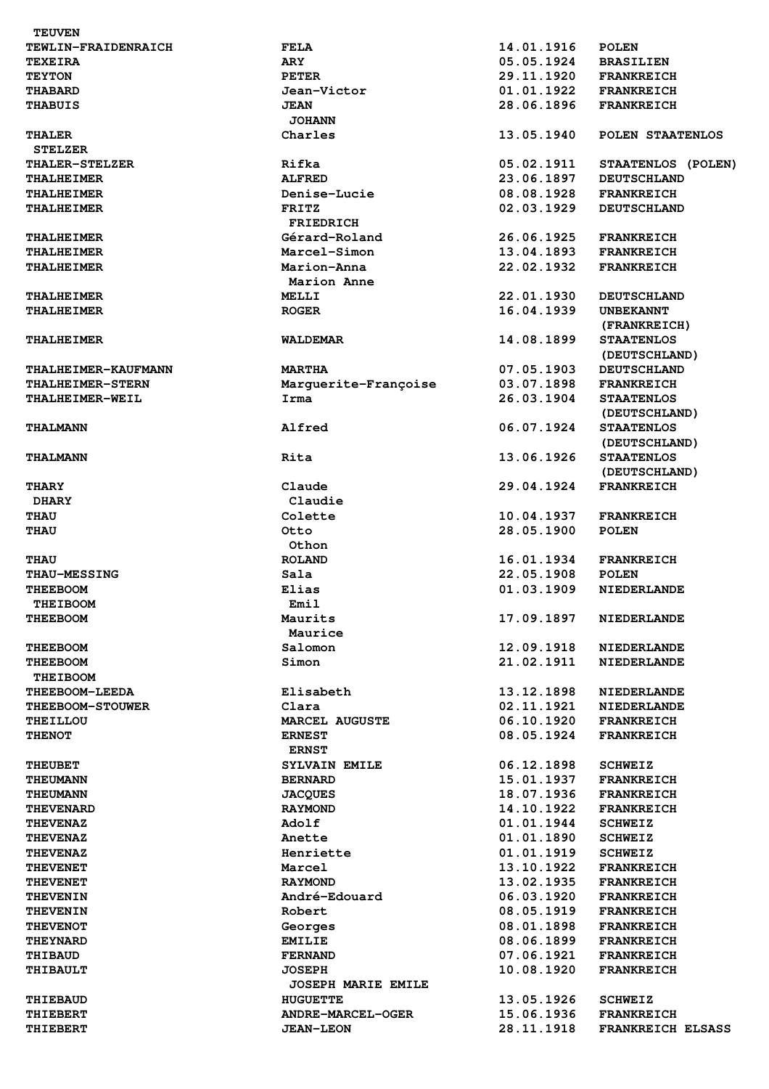| <b>TEUVEN</b>              |                              |            |                    |
|----------------------------|------------------------------|------------|--------------------|
| TEWLIN-FRAIDENRAICH        | <b>FELA</b>                  | 14.01.1916 | <b>POLEN</b>       |
| <b>TEXEIRA</b>             | <b>ARY</b>                   | 05.05.1924 | <b>BRASILIEN</b>   |
| <b>TEYTON</b>              | <b>PETER</b>                 | 29.11.1920 | <b>FRANKREICH</b>  |
| <b>THABARD</b>             | Jean-Victor                  | 01.01.1922 | <b>FRANKREICH</b>  |
| <b>THABUIS</b>             | <b>JEAN</b><br><b>JOHANN</b> | 28.06.1896 | <b>FRANKREICH</b>  |
| <b>THALER</b>              | Charles                      | 13.05.1940 | POLEN STAATENLOS   |
| <b>STELZER</b>             |                              |            |                    |
| <b>THALER-STELZER</b>      | Rifka                        | 05.02.1911 | STAATENLOS (POLEN) |
| <b>THALHEIMER</b>          | <b>ALFRED</b>                | 23.06.1897 | <b>DEUTSCHLAND</b> |
| <b>THALHEIMER</b>          | Denise-Lucie                 | 08.08.1928 | <b>FRANKREICH</b>  |
| <b>THALHEIMER</b>          | <b>FRITZ</b>                 | 02.03.1929 | <b>DEUTSCHLAND</b> |
|                            | <b>FRIEDRICH</b>             |            |                    |
| <b>THALHEIMER</b>          | Gérard-Roland                | 26.06.1925 | <b>FRANKREICH</b>  |
| <b>THALHEIMER</b>          | Marcel-Simon                 | 13.04.1893 | <b>FRANKREICH</b>  |
| <b>THALHEIMER</b>          | Marion-Anna                  | 22.02.1932 | <b>FRANKREICH</b>  |
|                            | Marion Anne                  |            |                    |
| <b>THALHEIMER</b>          | MELLI                        | 22.01.1930 | <b>DEUTSCHLAND</b> |
| <b>THALHEIMER</b>          | <b>ROGER</b>                 | 16.04.1939 | <b>UNBEKANNT</b>   |
|                            |                              |            | (FRANKREICH)       |
| <b>THALHEIMER</b>          | <b>WALDEMAR</b>              | 14.08.1899 | <b>STAATENLOS</b>  |
|                            |                              |            | (DEUTSCHLAND)      |
| <b>THALHEIMER-KAUFMANN</b> | <b>MARTHA</b>                | 07.05.1903 | <b>DEUTSCHLAND</b> |
| <b>THALHEIMER-STERN</b>    | Marguerite-Françoise         | 03.07.1898 | <b>FRANKREICH</b>  |
| <b>THALHEIMER-WEIL</b>     | Irma                         | 26.03.1904 | <b>STAATENLOS</b>  |
|                            |                              |            | (DEUTSCHLAND)      |
| <b>THALMANN</b>            | Alfred                       | 06.07.1924 | <b>STAATENLOS</b>  |
|                            |                              |            | (DEUTSCHLAND)      |
| <b>THALMANN</b>            | Rita                         | 13.06.1926 | <b>STAATENLOS</b>  |
|                            |                              |            | (DEUTSCHLAND)      |
| <b>THARY</b>               | Claude                       | 29.04.1924 | <b>FRANKREICH</b>  |
| <b>DHARY</b>               | Claudie                      |            |                    |
| <b>THAU</b>                | Colette                      | 10.04.1937 | <b>FRANKREICH</b>  |
| <b>THAU</b>                | Otto                         | 28.05.1900 | <b>POLEN</b>       |
|                            | Othon                        |            |                    |
| <b>THAU</b>                | <b>ROLAND</b>                | 16.01.1934 | <b>FRANKREICH</b>  |
| <b>THAU-MESSING</b>        | Sala                         | 22.05.1908 | <b>POLEN</b>       |
| <b>THEEBOOM</b>            | Elias                        | 01.03.1909 | <b>NIEDERLANDE</b> |
| <b>THEIBOOM</b>            | Emil<br>Maurits              | 17.09.1897 | <b>NIEDERLANDE</b> |
| <b>THEEBOOM</b>            | Maurice                      |            |                    |
| <b>THEEBOOM</b>            | Salomon                      | 12.09.1918 | <b>NIEDERLANDE</b> |
| <b>THEEBOOM</b>            | Simon                        | 21.02.1911 | <b>NIEDERLANDE</b> |
| <b>THEIBOOM</b>            |                              |            |                    |
| <b>THEEBOOM-LEEDA</b>      | Elisabeth                    | 13.12.1898 | <b>NIEDERLANDE</b> |
| <b>THEEBOOM-STOUWER</b>    | Clara                        | 02.11.1921 | <b>NIEDERLANDE</b> |
| <b>THEILLOU</b>            | <b>MARCEL AUGUSTE</b>        | 06.10.1920 | <b>FRANKREICH</b>  |
| <b>THENOT</b>              | <b>ERNEST</b>                | 08.05.1924 | <b>FRANKREICH</b>  |
|                            | <b>ERNST</b>                 |            |                    |
| <b>THEUBET</b>             | SYLVAIN EMILE                | 06.12.1898 | <b>SCHWEIZ</b>     |
| <b>THEUMANN</b>            | <b>BERNARD</b>               | 15.01.1937 | <b>FRANKREICH</b>  |
| <b>THEUMANN</b>            | <b>JACQUES</b>               | 18.07.1936 | <b>FRANKREICH</b>  |
| <b>THEVENARD</b>           | <b>RAYMOND</b>               | 14.10.1922 | <b>FRANKREICH</b>  |
| <b>THEVENAZ</b>            | Adolf                        | 01.01.1944 | <b>SCHWEIZ</b>     |
| <b>THEVENAZ</b>            | Anette                       | 01.01.1890 | <b>SCHWEIZ</b>     |
| <b>THEVENAZ</b>            | Henriette                    | 01.01.1919 | <b>SCHWEIZ</b>     |
| <b>THEVENET</b>            | Marcel                       | 13.10.1922 | <b>FRANKREICH</b>  |
| <b>THEVENET</b>            | <b>RAYMOND</b>               | 13.02.1935 | <b>FRANKREICH</b>  |
| <b>THEVENIN</b>            | André-Edouard                | 06.03.1920 | <b>FRANKREICH</b>  |
| <b>THEVENIN</b>            | Robert                       | 08.05.1919 | <b>FRANKREICH</b>  |
| <b>THEVENOT</b>            | Georges                      | 08.01.1898 | <b>FRANKREICH</b>  |
| <b>THEYNARD</b>            | <b>EMILIE</b>                | 08.06.1899 | <b>FRANKREICH</b>  |
| THIBAUD                    | <b>FERNAND</b>               | 07.06.1921 | <b>FRANKREICH</b>  |
| <b>THIBAULT</b>            | <b>JOSEPH</b>                | 10.08.1920 | <b>FRANKREICH</b>  |
|                            | <b>JOSEPH MARIE EMILE</b>    |            |                    |
| <b>THIEBAUD</b>            | <b>HUGUETTE</b>              | 13.05.1926 | <b>SCHWEIZ</b>     |
| <b>THIEBERT</b>            | ANDRE-MARCEL-OGER            | 15.06.1936 | <b>FRANKREICH</b>  |
| THIEBERT                   | <b>JEAN-LEON</b>             | 28.11.1918 | FRANKREICH ELSASS  |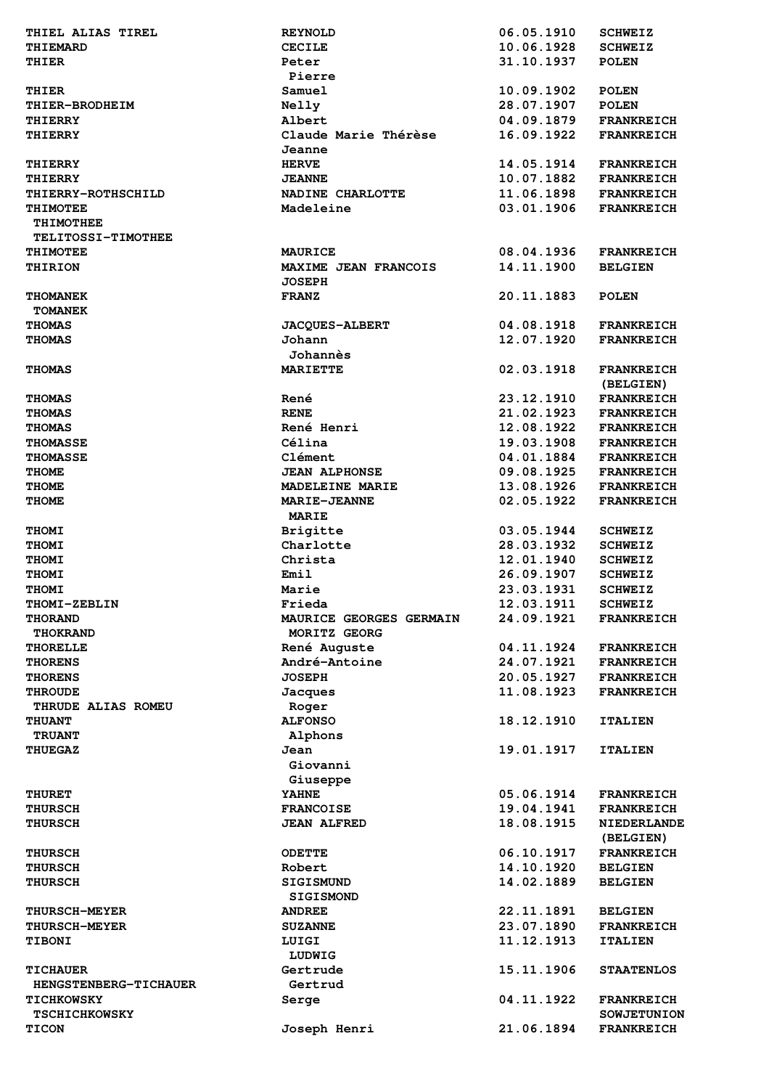| 10.06.1928<br>THIEMARD<br><b>CECILE</b><br><b>SCHWEIZ</b><br>31.10.1937<br>THIER<br><b>POLEN</b><br>Peter<br>Pierre<br>Samuel<br>10.09.1902<br><b>POLEN</b><br>THIER<br>28.07.1907<br><b>POLEN</b><br>THIER-BRODHEIM<br>Nelly<br>Albert<br>04.09.1879<br><b>FRANKREICH</b><br>THIERRY<br>Claude Marie Thérèse<br>16.09.1922<br>THIERRY<br><b>FRANKREICH</b><br>Jeanne<br><b>HERVE</b><br>14.05.1914<br><b>THIERRY</b><br><b>FRANKREICH</b><br>10.07.1882<br><b>JEANNE</b><br><b>FRANKREICH</b><br>THIERRY<br>11.06.1898<br>NADINE CHARLOTTE<br><b>THIERRY-ROTHSCHILD</b><br><b>FRANKREICH</b><br>03.01.1906<br>Madeleine<br><b>FRANKREICH</b><br><b>THIMOTEE</b><br><b>THIMOTHEE</b><br>TELITOSSI-TIMOTHEE<br>08.04.1936<br><b>THIMOTEE</b><br><b>MAURICE</b><br><b>FRANKREICH</b><br>14.11.1900<br>THIRION<br><b>MAXIME JEAN FRANCOIS</b><br><b>BELGIEN</b><br><b>JOSEPH</b><br>20.11.1883<br><b>FRANZ</b><br><b>THOMANEK</b><br><b>POLEN</b><br><b>TOMANEK</b><br><b>JACQUES-ALBERT</b><br>04.08.1918<br><b>THOMAS</b><br><b>FRANKREICH</b><br>Johann<br>12.07.1920<br><b>THOMAS</b><br><b>FRANKREICH</b><br>Johannès<br>02.03.1918<br><b>MARIETTE</b><br><b>THOMAS</b><br><b>FRANKREICH</b><br>(BELGIEN)<br>René<br>23.12.1910<br><b>FRANKREICH</b><br><b>THOMAS</b><br><b>RENE</b><br>21.02.1923<br><b>THOMAS</b><br><b>FRANKREICH</b><br>René Henri<br>12.08.1922<br><b>FRANKREICH</b><br><b>THOMAS</b><br>Célina<br>19.03.1908<br><b>THOMASSE</b><br><b>FRANKREICH</b><br>Clément<br>04.01.1884<br><b>THOMASSE</b><br><b>FRANKREICH</b><br>09.08.1925<br><b>THOME</b><br><b>JEAN ALPHONSE</b><br><b>FRANKREICH</b><br>13.08.1926<br>MADELEINE MARIE<br><b>THOME</b><br><b>FRANKREICH</b><br>02.05.1922<br><b>THOME</b><br><b>MARIE-JEANNE</b><br><b>FRANKREICH</b><br><b>MARIE</b><br><b>Brigitte</b><br>03.05.1944<br><b>THOMI</b><br><b>SCHWEIZ</b><br>Charlotte<br>28.03.1932<br><b>THOMI</b><br><b>SCHWEIZ</b><br>12.01.1940<br><b>THOMI</b><br>Christa<br><b>SCHWEIZ</b><br>Emil<br>26.09.1907<br><b>THOMI</b><br><b>SCHWEIZ</b><br>23.03.1931<br><b>THOMI</b><br>Marie<br><b>SCHWEIZ</b><br>THOMI-ZEBLIN<br>Frieda<br>12.03.1911<br><b>SCHWEIZ</b><br>24.09.1921<br><b>THORAND</b><br>MAURICE GEORGES GERMAIN<br><b>FRANKREICH</b><br>MORITZ GEORG<br>THOKRAND<br>René Auguste<br>04.11.1924<br><b>THORELLE</b><br><b>FRANKREICH</b><br>André-Antoine<br>24.07.1921<br><b>FRANKREICH</b><br><b>THORENS</b><br><b>JOSEPH</b><br>20.05.1927<br><b>FRANKREICH</b><br><b>THORENS</b><br>11.08.1923<br><b>FRANKREICH</b><br><b>THROUDE</b><br>Jacques<br>THRUDE ALIAS ROMEU<br>Roger<br><b>ALFONSO</b><br>18.12.1910<br><b>THUANT</b><br><b>ITALIEN</b><br>Alphons<br><b>TRUANT</b><br>19.01.1917<br>Jean<br><b>THUEGAZ</b><br><b>ITALIEN</b><br>Giovanni<br>Giuseppe<br><b>YAHNE</b><br>05.06.1914<br><b>THURET</b><br><b>FRANKREICH</b><br>19.04.1941<br><b>FRANKREICH</b><br><b>THURSCH</b><br><b>FRANCOISE</b><br>18.08.1915<br><b>JEAN ALFRED</b><br><b>NIEDERLANDE</b><br><b>THURSCH</b><br>(BELGIEN)<br>06.10.1917<br><b>ODETTE</b><br><b>FRANKREICH</b><br><b>THURSCH</b><br>14.10.1920<br>Robert<br><b>THURSCH</b><br><b>BELGIEN</b><br>14.02.1889<br><b>THURSCH</b><br><b>SIGISMUND</b><br><b>BELGIEN</b><br><b>SIGISMOND</b><br>22.11.1891<br><b>THURSCH-MEYER</b><br><b>ANDREE</b><br><b>BELGIEN</b><br>23.07.1890<br><b>FRANKREICH</b><br><b>THURSCH-MEYER</b><br><b>SUZANNE</b><br>11.12.1913<br><b>TIBONI</b><br>LUIGI<br><b>ITALIEN</b><br>LUDWIG<br>15.11.1906<br><b>TICHAUER</b><br>Gertrude<br><b>STAATENLOS</b><br>Gertrud<br><b>HENGSTENBERG-TICHAUER</b><br>04.11.1922<br><b>TICHKOWSKY</b><br>Serge<br><b>FRANKREICH</b><br><b>TSCHICHKOWSKY</b><br><b>SOWJETUNION</b> | THIEL ALIAS TIREL | <b>REYNOLD</b> | 06.05.1910 | <b>SCHWEIZ</b>    |
|------------------------------------------------------------------------------------------------------------------------------------------------------------------------------------------------------------------------------------------------------------------------------------------------------------------------------------------------------------------------------------------------------------------------------------------------------------------------------------------------------------------------------------------------------------------------------------------------------------------------------------------------------------------------------------------------------------------------------------------------------------------------------------------------------------------------------------------------------------------------------------------------------------------------------------------------------------------------------------------------------------------------------------------------------------------------------------------------------------------------------------------------------------------------------------------------------------------------------------------------------------------------------------------------------------------------------------------------------------------------------------------------------------------------------------------------------------------------------------------------------------------------------------------------------------------------------------------------------------------------------------------------------------------------------------------------------------------------------------------------------------------------------------------------------------------------------------------------------------------------------------------------------------------------------------------------------------------------------------------------------------------------------------------------------------------------------------------------------------------------------------------------------------------------------------------------------------------------------------------------------------------------------------------------------------------------------------------------------------------------------------------------------------------------------------------------------------------------------------------------------------------------------------------------------------------------------------------------------------------------------------------------------------------------------------------------------------------------------------------------------------------------------------------------------------------------------------------------------------------------------------------------------------------------------------------------------------------------------------------------------------------------------------------------------------------------------------------------------------------------------------------------------------------------------------------------------------------------------------------------------------------------------------------------------------------------------------------------------------------------------------------------------------------------------------------------------------------------------------------------------------------------------------------------------------------------------------------------------------------------------------------------------------------------------------------------------|-------------------|----------------|------------|-------------------|
|                                                                                                                                                                                                                                                                                                                                                                                                                                                                                                                                                                                                                                                                                                                                                                                                                                                                                                                                                                                                                                                                                                                                                                                                                                                                                                                                                                                                                                                                                                                                                                                                                                                                                                                                                                                                                                                                                                                                                                                                                                                                                                                                                                                                                                                                                                                                                                                                                                                                                                                                                                                                                                                                                                                                                                                                                                                                                                                                                                                                                                                                                                                                                                                                                                                                                                                                                                                                                                                                                                                                                                                                                                                                                                      |                   |                |            |                   |
|                                                                                                                                                                                                                                                                                                                                                                                                                                                                                                                                                                                                                                                                                                                                                                                                                                                                                                                                                                                                                                                                                                                                                                                                                                                                                                                                                                                                                                                                                                                                                                                                                                                                                                                                                                                                                                                                                                                                                                                                                                                                                                                                                                                                                                                                                                                                                                                                                                                                                                                                                                                                                                                                                                                                                                                                                                                                                                                                                                                                                                                                                                                                                                                                                                                                                                                                                                                                                                                                                                                                                                                                                                                                                                      |                   |                |            |                   |
|                                                                                                                                                                                                                                                                                                                                                                                                                                                                                                                                                                                                                                                                                                                                                                                                                                                                                                                                                                                                                                                                                                                                                                                                                                                                                                                                                                                                                                                                                                                                                                                                                                                                                                                                                                                                                                                                                                                                                                                                                                                                                                                                                                                                                                                                                                                                                                                                                                                                                                                                                                                                                                                                                                                                                                                                                                                                                                                                                                                                                                                                                                                                                                                                                                                                                                                                                                                                                                                                                                                                                                                                                                                                                                      |                   |                |            |                   |
|                                                                                                                                                                                                                                                                                                                                                                                                                                                                                                                                                                                                                                                                                                                                                                                                                                                                                                                                                                                                                                                                                                                                                                                                                                                                                                                                                                                                                                                                                                                                                                                                                                                                                                                                                                                                                                                                                                                                                                                                                                                                                                                                                                                                                                                                                                                                                                                                                                                                                                                                                                                                                                                                                                                                                                                                                                                                                                                                                                                                                                                                                                                                                                                                                                                                                                                                                                                                                                                                                                                                                                                                                                                                                                      |                   |                |            |                   |
|                                                                                                                                                                                                                                                                                                                                                                                                                                                                                                                                                                                                                                                                                                                                                                                                                                                                                                                                                                                                                                                                                                                                                                                                                                                                                                                                                                                                                                                                                                                                                                                                                                                                                                                                                                                                                                                                                                                                                                                                                                                                                                                                                                                                                                                                                                                                                                                                                                                                                                                                                                                                                                                                                                                                                                                                                                                                                                                                                                                                                                                                                                                                                                                                                                                                                                                                                                                                                                                                                                                                                                                                                                                                                                      |                   |                |            |                   |
|                                                                                                                                                                                                                                                                                                                                                                                                                                                                                                                                                                                                                                                                                                                                                                                                                                                                                                                                                                                                                                                                                                                                                                                                                                                                                                                                                                                                                                                                                                                                                                                                                                                                                                                                                                                                                                                                                                                                                                                                                                                                                                                                                                                                                                                                                                                                                                                                                                                                                                                                                                                                                                                                                                                                                                                                                                                                                                                                                                                                                                                                                                                                                                                                                                                                                                                                                                                                                                                                                                                                                                                                                                                                                                      |                   |                |            |                   |
|                                                                                                                                                                                                                                                                                                                                                                                                                                                                                                                                                                                                                                                                                                                                                                                                                                                                                                                                                                                                                                                                                                                                                                                                                                                                                                                                                                                                                                                                                                                                                                                                                                                                                                                                                                                                                                                                                                                                                                                                                                                                                                                                                                                                                                                                                                                                                                                                                                                                                                                                                                                                                                                                                                                                                                                                                                                                                                                                                                                                                                                                                                                                                                                                                                                                                                                                                                                                                                                                                                                                                                                                                                                                                                      |                   |                |            |                   |
|                                                                                                                                                                                                                                                                                                                                                                                                                                                                                                                                                                                                                                                                                                                                                                                                                                                                                                                                                                                                                                                                                                                                                                                                                                                                                                                                                                                                                                                                                                                                                                                                                                                                                                                                                                                                                                                                                                                                                                                                                                                                                                                                                                                                                                                                                                                                                                                                                                                                                                                                                                                                                                                                                                                                                                                                                                                                                                                                                                                                                                                                                                                                                                                                                                                                                                                                                                                                                                                                                                                                                                                                                                                                                                      |                   |                |            |                   |
|                                                                                                                                                                                                                                                                                                                                                                                                                                                                                                                                                                                                                                                                                                                                                                                                                                                                                                                                                                                                                                                                                                                                                                                                                                                                                                                                                                                                                                                                                                                                                                                                                                                                                                                                                                                                                                                                                                                                                                                                                                                                                                                                                                                                                                                                                                                                                                                                                                                                                                                                                                                                                                                                                                                                                                                                                                                                                                                                                                                                                                                                                                                                                                                                                                                                                                                                                                                                                                                                                                                                                                                                                                                                                                      |                   |                |            |                   |
|                                                                                                                                                                                                                                                                                                                                                                                                                                                                                                                                                                                                                                                                                                                                                                                                                                                                                                                                                                                                                                                                                                                                                                                                                                                                                                                                                                                                                                                                                                                                                                                                                                                                                                                                                                                                                                                                                                                                                                                                                                                                                                                                                                                                                                                                                                                                                                                                                                                                                                                                                                                                                                                                                                                                                                                                                                                                                                                                                                                                                                                                                                                                                                                                                                                                                                                                                                                                                                                                                                                                                                                                                                                                                                      |                   |                |            |                   |
|                                                                                                                                                                                                                                                                                                                                                                                                                                                                                                                                                                                                                                                                                                                                                                                                                                                                                                                                                                                                                                                                                                                                                                                                                                                                                                                                                                                                                                                                                                                                                                                                                                                                                                                                                                                                                                                                                                                                                                                                                                                                                                                                                                                                                                                                                                                                                                                                                                                                                                                                                                                                                                                                                                                                                                                                                                                                                                                                                                                                                                                                                                                                                                                                                                                                                                                                                                                                                                                                                                                                                                                                                                                                                                      |                   |                |            |                   |
|                                                                                                                                                                                                                                                                                                                                                                                                                                                                                                                                                                                                                                                                                                                                                                                                                                                                                                                                                                                                                                                                                                                                                                                                                                                                                                                                                                                                                                                                                                                                                                                                                                                                                                                                                                                                                                                                                                                                                                                                                                                                                                                                                                                                                                                                                                                                                                                                                                                                                                                                                                                                                                                                                                                                                                                                                                                                                                                                                                                                                                                                                                                                                                                                                                                                                                                                                                                                                                                                                                                                                                                                                                                                                                      |                   |                |            |                   |
|                                                                                                                                                                                                                                                                                                                                                                                                                                                                                                                                                                                                                                                                                                                                                                                                                                                                                                                                                                                                                                                                                                                                                                                                                                                                                                                                                                                                                                                                                                                                                                                                                                                                                                                                                                                                                                                                                                                                                                                                                                                                                                                                                                                                                                                                                                                                                                                                                                                                                                                                                                                                                                                                                                                                                                                                                                                                                                                                                                                                                                                                                                                                                                                                                                                                                                                                                                                                                                                                                                                                                                                                                                                                                                      |                   |                |            |                   |
|                                                                                                                                                                                                                                                                                                                                                                                                                                                                                                                                                                                                                                                                                                                                                                                                                                                                                                                                                                                                                                                                                                                                                                                                                                                                                                                                                                                                                                                                                                                                                                                                                                                                                                                                                                                                                                                                                                                                                                                                                                                                                                                                                                                                                                                                                                                                                                                                                                                                                                                                                                                                                                                                                                                                                                                                                                                                                                                                                                                                                                                                                                                                                                                                                                                                                                                                                                                                                                                                                                                                                                                                                                                                                                      |                   |                |            |                   |
|                                                                                                                                                                                                                                                                                                                                                                                                                                                                                                                                                                                                                                                                                                                                                                                                                                                                                                                                                                                                                                                                                                                                                                                                                                                                                                                                                                                                                                                                                                                                                                                                                                                                                                                                                                                                                                                                                                                                                                                                                                                                                                                                                                                                                                                                                                                                                                                                                                                                                                                                                                                                                                                                                                                                                                                                                                                                                                                                                                                                                                                                                                                                                                                                                                                                                                                                                                                                                                                                                                                                                                                                                                                                                                      |                   |                |            |                   |
|                                                                                                                                                                                                                                                                                                                                                                                                                                                                                                                                                                                                                                                                                                                                                                                                                                                                                                                                                                                                                                                                                                                                                                                                                                                                                                                                                                                                                                                                                                                                                                                                                                                                                                                                                                                                                                                                                                                                                                                                                                                                                                                                                                                                                                                                                                                                                                                                                                                                                                                                                                                                                                                                                                                                                                                                                                                                                                                                                                                                                                                                                                                                                                                                                                                                                                                                                                                                                                                                                                                                                                                                                                                                                                      |                   |                |            |                   |
|                                                                                                                                                                                                                                                                                                                                                                                                                                                                                                                                                                                                                                                                                                                                                                                                                                                                                                                                                                                                                                                                                                                                                                                                                                                                                                                                                                                                                                                                                                                                                                                                                                                                                                                                                                                                                                                                                                                                                                                                                                                                                                                                                                                                                                                                                                                                                                                                                                                                                                                                                                                                                                                                                                                                                                                                                                                                                                                                                                                                                                                                                                                                                                                                                                                                                                                                                                                                                                                                                                                                                                                                                                                                                                      |                   |                |            |                   |
|                                                                                                                                                                                                                                                                                                                                                                                                                                                                                                                                                                                                                                                                                                                                                                                                                                                                                                                                                                                                                                                                                                                                                                                                                                                                                                                                                                                                                                                                                                                                                                                                                                                                                                                                                                                                                                                                                                                                                                                                                                                                                                                                                                                                                                                                                                                                                                                                                                                                                                                                                                                                                                                                                                                                                                                                                                                                                                                                                                                                                                                                                                                                                                                                                                                                                                                                                                                                                                                                                                                                                                                                                                                                                                      |                   |                |            |                   |
|                                                                                                                                                                                                                                                                                                                                                                                                                                                                                                                                                                                                                                                                                                                                                                                                                                                                                                                                                                                                                                                                                                                                                                                                                                                                                                                                                                                                                                                                                                                                                                                                                                                                                                                                                                                                                                                                                                                                                                                                                                                                                                                                                                                                                                                                                                                                                                                                                                                                                                                                                                                                                                                                                                                                                                                                                                                                                                                                                                                                                                                                                                                                                                                                                                                                                                                                                                                                                                                                                                                                                                                                                                                                                                      |                   |                |            |                   |
|                                                                                                                                                                                                                                                                                                                                                                                                                                                                                                                                                                                                                                                                                                                                                                                                                                                                                                                                                                                                                                                                                                                                                                                                                                                                                                                                                                                                                                                                                                                                                                                                                                                                                                                                                                                                                                                                                                                                                                                                                                                                                                                                                                                                                                                                                                                                                                                                                                                                                                                                                                                                                                                                                                                                                                                                                                                                                                                                                                                                                                                                                                                                                                                                                                                                                                                                                                                                                                                                                                                                                                                                                                                                                                      |                   |                |            |                   |
|                                                                                                                                                                                                                                                                                                                                                                                                                                                                                                                                                                                                                                                                                                                                                                                                                                                                                                                                                                                                                                                                                                                                                                                                                                                                                                                                                                                                                                                                                                                                                                                                                                                                                                                                                                                                                                                                                                                                                                                                                                                                                                                                                                                                                                                                                                                                                                                                                                                                                                                                                                                                                                                                                                                                                                                                                                                                                                                                                                                                                                                                                                                                                                                                                                                                                                                                                                                                                                                                                                                                                                                                                                                                                                      |                   |                |            |                   |
|                                                                                                                                                                                                                                                                                                                                                                                                                                                                                                                                                                                                                                                                                                                                                                                                                                                                                                                                                                                                                                                                                                                                                                                                                                                                                                                                                                                                                                                                                                                                                                                                                                                                                                                                                                                                                                                                                                                                                                                                                                                                                                                                                                                                                                                                                                                                                                                                                                                                                                                                                                                                                                                                                                                                                                                                                                                                                                                                                                                                                                                                                                                                                                                                                                                                                                                                                                                                                                                                                                                                                                                                                                                                                                      |                   |                |            |                   |
|                                                                                                                                                                                                                                                                                                                                                                                                                                                                                                                                                                                                                                                                                                                                                                                                                                                                                                                                                                                                                                                                                                                                                                                                                                                                                                                                                                                                                                                                                                                                                                                                                                                                                                                                                                                                                                                                                                                                                                                                                                                                                                                                                                                                                                                                                                                                                                                                                                                                                                                                                                                                                                                                                                                                                                                                                                                                                                                                                                                                                                                                                                                                                                                                                                                                                                                                                                                                                                                                                                                                                                                                                                                                                                      |                   |                |            |                   |
|                                                                                                                                                                                                                                                                                                                                                                                                                                                                                                                                                                                                                                                                                                                                                                                                                                                                                                                                                                                                                                                                                                                                                                                                                                                                                                                                                                                                                                                                                                                                                                                                                                                                                                                                                                                                                                                                                                                                                                                                                                                                                                                                                                                                                                                                                                                                                                                                                                                                                                                                                                                                                                                                                                                                                                                                                                                                                                                                                                                                                                                                                                                                                                                                                                                                                                                                                                                                                                                                                                                                                                                                                                                                                                      |                   |                |            |                   |
|                                                                                                                                                                                                                                                                                                                                                                                                                                                                                                                                                                                                                                                                                                                                                                                                                                                                                                                                                                                                                                                                                                                                                                                                                                                                                                                                                                                                                                                                                                                                                                                                                                                                                                                                                                                                                                                                                                                                                                                                                                                                                                                                                                                                                                                                                                                                                                                                                                                                                                                                                                                                                                                                                                                                                                                                                                                                                                                                                                                                                                                                                                                                                                                                                                                                                                                                                                                                                                                                                                                                                                                                                                                                                                      |                   |                |            |                   |
|                                                                                                                                                                                                                                                                                                                                                                                                                                                                                                                                                                                                                                                                                                                                                                                                                                                                                                                                                                                                                                                                                                                                                                                                                                                                                                                                                                                                                                                                                                                                                                                                                                                                                                                                                                                                                                                                                                                                                                                                                                                                                                                                                                                                                                                                                                                                                                                                                                                                                                                                                                                                                                                                                                                                                                                                                                                                                                                                                                                                                                                                                                                                                                                                                                                                                                                                                                                                                                                                                                                                                                                                                                                                                                      |                   |                |            |                   |
|                                                                                                                                                                                                                                                                                                                                                                                                                                                                                                                                                                                                                                                                                                                                                                                                                                                                                                                                                                                                                                                                                                                                                                                                                                                                                                                                                                                                                                                                                                                                                                                                                                                                                                                                                                                                                                                                                                                                                                                                                                                                                                                                                                                                                                                                                                                                                                                                                                                                                                                                                                                                                                                                                                                                                                                                                                                                                                                                                                                                                                                                                                                                                                                                                                                                                                                                                                                                                                                                                                                                                                                                                                                                                                      |                   |                |            |                   |
|                                                                                                                                                                                                                                                                                                                                                                                                                                                                                                                                                                                                                                                                                                                                                                                                                                                                                                                                                                                                                                                                                                                                                                                                                                                                                                                                                                                                                                                                                                                                                                                                                                                                                                                                                                                                                                                                                                                                                                                                                                                                                                                                                                                                                                                                                                                                                                                                                                                                                                                                                                                                                                                                                                                                                                                                                                                                                                                                                                                                                                                                                                                                                                                                                                                                                                                                                                                                                                                                                                                                                                                                                                                                                                      |                   |                |            |                   |
|                                                                                                                                                                                                                                                                                                                                                                                                                                                                                                                                                                                                                                                                                                                                                                                                                                                                                                                                                                                                                                                                                                                                                                                                                                                                                                                                                                                                                                                                                                                                                                                                                                                                                                                                                                                                                                                                                                                                                                                                                                                                                                                                                                                                                                                                                                                                                                                                                                                                                                                                                                                                                                                                                                                                                                                                                                                                                                                                                                                                                                                                                                                                                                                                                                                                                                                                                                                                                                                                                                                                                                                                                                                                                                      |                   |                |            |                   |
|                                                                                                                                                                                                                                                                                                                                                                                                                                                                                                                                                                                                                                                                                                                                                                                                                                                                                                                                                                                                                                                                                                                                                                                                                                                                                                                                                                                                                                                                                                                                                                                                                                                                                                                                                                                                                                                                                                                                                                                                                                                                                                                                                                                                                                                                                                                                                                                                                                                                                                                                                                                                                                                                                                                                                                                                                                                                                                                                                                                                                                                                                                                                                                                                                                                                                                                                                                                                                                                                                                                                                                                                                                                                                                      |                   |                |            |                   |
|                                                                                                                                                                                                                                                                                                                                                                                                                                                                                                                                                                                                                                                                                                                                                                                                                                                                                                                                                                                                                                                                                                                                                                                                                                                                                                                                                                                                                                                                                                                                                                                                                                                                                                                                                                                                                                                                                                                                                                                                                                                                                                                                                                                                                                                                                                                                                                                                                                                                                                                                                                                                                                                                                                                                                                                                                                                                                                                                                                                                                                                                                                                                                                                                                                                                                                                                                                                                                                                                                                                                                                                                                                                                                                      |                   |                |            |                   |
|                                                                                                                                                                                                                                                                                                                                                                                                                                                                                                                                                                                                                                                                                                                                                                                                                                                                                                                                                                                                                                                                                                                                                                                                                                                                                                                                                                                                                                                                                                                                                                                                                                                                                                                                                                                                                                                                                                                                                                                                                                                                                                                                                                                                                                                                                                                                                                                                                                                                                                                                                                                                                                                                                                                                                                                                                                                                                                                                                                                                                                                                                                                                                                                                                                                                                                                                                                                                                                                                                                                                                                                                                                                                                                      |                   |                |            |                   |
|                                                                                                                                                                                                                                                                                                                                                                                                                                                                                                                                                                                                                                                                                                                                                                                                                                                                                                                                                                                                                                                                                                                                                                                                                                                                                                                                                                                                                                                                                                                                                                                                                                                                                                                                                                                                                                                                                                                                                                                                                                                                                                                                                                                                                                                                                                                                                                                                                                                                                                                                                                                                                                                                                                                                                                                                                                                                                                                                                                                                                                                                                                                                                                                                                                                                                                                                                                                                                                                                                                                                                                                                                                                                                                      |                   |                |            |                   |
|                                                                                                                                                                                                                                                                                                                                                                                                                                                                                                                                                                                                                                                                                                                                                                                                                                                                                                                                                                                                                                                                                                                                                                                                                                                                                                                                                                                                                                                                                                                                                                                                                                                                                                                                                                                                                                                                                                                                                                                                                                                                                                                                                                                                                                                                                                                                                                                                                                                                                                                                                                                                                                                                                                                                                                                                                                                                                                                                                                                                                                                                                                                                                                                                                                                                                                                                                                                                                                                                                                                                                                                                                                                                                                      |                   |                |            |                   |
|                                                                                                                                                                                                                                                                                                                                                                                                                                                                                                                                                                                                                                                                                                                                                                                                                                                                                                                                                                                                                                                                                                                                                                                                                                                                                                                                                                                                                                                                                                                                                                                                                                                                                                                                                                                                                                                                                                                                                                                                                                                                                                                                                                                                                                                                                                                                                                                                                                                                                                                                                                                                                                                                                                                                                                                                                                                                                                                                                                                                                                                                                                                                                                                                                                                                                                                                                                                                                                                                                                                                                                                                                                                                                                      |                   |                |            |                   |
|                                                                                                                                                                                                                                                                                                                                                                                                                                                                                                                                                                                                                                                                                                                                                                                                                                                                                                                                                                                                                                                                                                                                                                                                                                                                                                                                                                                                                                                                                                                                                                                                                                                                                                                                                                                                                                                                                                                                                                                                                                                                                                                                                                                                                                                                                                                                                                                                                                                                                                                                                                                                                                                                                                                                                                                                                                                                                                                                                                                                                                                                                                                                                                                                                                                                                                                                                                                                                                                                                                                                                                                                                                                                                                      |                   |                |            |                   |
|                                                                                                                                                                                                                                                                                                                                                                                                                                                                                                                                                                                                                                                                                                                                                                                                                                                                                                                                                                                                                                                                                                                                                                                                                                                                                                                                                                                                                                                                                                                                                                                                                                                                                                                                                                                                                                                                                                                                                                                                                                                                                                                                                                                                                                                                                                                                                                                                                                                                                                                                                                                                                                                                                                                                                                                                                                                                                                                                                                                                                                                                                                                                                                                                                                                                                                                                                                                                                                                                                                                                                                                                                                                                                                      |                   |                |            |                   |
|                                                                                                                                                                                                                                                                                                                                                                                                                                                                                                                                                                                                                                                                                                                                                                                                                                                                                                                                                                                                                                                                                                                                                                                                                                                                                                                                                                                                                                                                                                                                                                                                                                                                                                                                                                                                                                                                                                                                                                                                                                                                                                                                                                                                                                                                                                                                                                                                                                                                                                                                                                                                                                                                                                                                                                                                                                                                                                                                                                                                                                                                                                                                                                                                                                                                                                                                                                                                                                                                                                                                                                                                                                                                                                      |                   |                |            |                   |
|                                                                                                                                                                                                                                                                                                                                                                                                                                                                                                                                                                                                                                                                                                                                                                                                                                                                                                                                                                                                                                                                                                                                                                                                                                                                                                                                                                                                                                                                                                                                                                                                                                                                                                                                                                                                                                                                                                                                                                                                                                                                                                                                                                                                                                                                                                                                                                                                                                                                                                                                                                                                                                                                                                                                                                                                                                                                                                                                                                                                                                                                                                                                                                                                                                                                                                                                                                                                                                                                                                                                                                                                                                                                                                      |                   |                |            |                   |
|                                                                                                                                                                                                                                                                                                                                                                                                                                                                                                                                                                                                                                                                                                                                                                                                                                                                                                                                                                                                                                                                                                                                                                                                                                                                                                                                                                                                                                                                                                                                                                                                                                                                                                                                                                                                                                                                                                                                                                                                                                                                                                                                                                                                                                                                                                                                                                                                                                                                                                                                                                                                                                                                                                                                                                                                                                                                                                                                                                                                                                                                                                                                                                                                                                                                                                                                                                                                                                                                                                                                                                                                                                                                                                      |                   |                |            |                   |
|                                                                                                                                                                                                                                                                                                                                                                                                                                                                                                                                                                                                                                                                                                                                                                                                                                                                                                                                                                                                                                                                                                                                                                                                                                                                                                                                                                                                                                                                                                                                                                                                                                                                                                                                                                                                                                                                                                                                                                                                                                                                                                                                                                                                                                                                                                                                                                                                                                                                                                                                                                                                                                                                                                                                                                                                                                                                                                                                                                                                                                                                                                                                                                                                                                                                                                                                                                                                                                                                                                                                                                                                                                                                                                      |                   |                |            |                   |
|                                                                                                                                                                                                                                                                                                                                                                                                                                                                                                                                                                                                                                                                                                                                                                                                                                                                                                                                                                                                                                                                                                                                                                                                                                                                                                                                                                                                                                                                                                                                                                                                                                                                                                                                                                                                                                                                                                                                                                                                                                                                                                                                                                                                                                                                                                                                                                                                                                                                                                                                                                                                                                                                                                                                                                                                                                                                                                                                                                                                                                                                                                                                                                                                                                                                                                                                                                                                                                                                                                                                                                                                                                                                                                      |                   |                |            |                   |
|                                                                                                                                                                                                                                                                                                                                                                                                                                                                                                                                                                                                                                                                                                                                                                                                                                                                                                                                                                                                                                                                                                                                                                                                                                                                                                                                                                                                                                                                                                                                                                                                                                                                                                                                                                                                                                                                                                                                                                                                                                                                                                                                                                                                                                                                                                                                                                                                                                                                                                                                                                                                                                                                                                                                                                                                                                                                                                                                                                                                                                                                                                                                                                                                                                                                                                                                                                                                                                                                                                                                                                                                                                                                                                      |                   |                |            |                   |
|                                                                                                                                                                                                                                                                                                                                                                                                                                                                                                                                                                                                                                                                                                                                                                                                                                                                                                                                                                                                                                                                                                                                                                                                                                                                                                                                                                                                                                                                                                                                                                                                                                                                                                                                                                                                                                                                                                                                                                                                                                                                                                                                                                                                                                                                                                                                                                                                                                                                                                                                                                                                                                                                                                                                                                                                                                                                                                                                                                                                                                                                                                                                                                                                                                                                                                                                                                                                                                                                                                                                                                                                                                                                                                      |                   |                |            |                   |
|                                                                                                                                                                                                                                                                                                                                                                                                                                                                                                                                                                                                                                                                                                                                                                                                                                                                                                                                                                                                                                                                                                                                                                                                                                                                                                                                                                                                                                                                                                                                                                                                                                                                                                                                                                                                                                                                                                                                                                                                                                                                                                                                                                                                                                                                                                                                                                                                                                                                                                                                                                                                                                                                                                                                                                                                                                                                                                                                                                                                                                                                                                                                                                                                                                                                                                                                                                                                                                                                                                                                                                                                                                                                                                      |                   |                |            |                   |
|                                                                                                                                                                                                                                                                                                                                                                                                                                                                                                                                                                                                                                                                                                                                                                                                                                                                                                                                                                                                                                                                                                                                                                                                                                                                                                                                                                                                                                                                                                                                                                                                                                                                                                                                                                                                                                                                                                                                                                                                                                                                                                                                                                                                                                                                                                                                                                                                                                                                                                                                                                                                                                                                                                                                                                                                                                                                                                                                                                                                                                                                                                                                                                                                                                                                                                                                                                                                                                                                                                                                                                                                                                                                                                      |                   |                |            |                   |
|                                                                                                                                                                                                                                                                                                                                                                                                                                                                                                                                                                                                                                                                                                                                                                                                                                                                                                                                                                                                                                                                                                                                                                                                                                                                                                                                                                                                                                                                                                                                                                                                                                                                                                                                                                                                                                                                                                                                                                                                                                                                                                                                                                                                                                                                                                                                                                                                                                                                                                                                                                                                                                                                                                                                                                                                                                                                                                                                                                                                                                                                                                                                                                                                                                                                                                                                                                                                                                                                                                                                                                                                                                                                                                      |                   |                |            |                   |
|                                                                                                                                                                                                                                                                                                                                                                                                                                                                                                                                                                                                                                                                                                                                                                                                                                                                                                                                                                                                                                                                                                                                                                                                                                                                                                                                                                                                                                                                                                                                                                                                                                                                                                                                                                                                                                                                                                                                                                                                                                                                                                                                                                                                                                                                                                                                                                                                                                                                                                                                                                                                                                                                                                                                                                                                                                                                                                                                                                                                                                                                                                                                                                                                                                                                                                                                                                                                                                                                                                                                                                                                                                                                                                      |                   |                |            |                   |
|                                                                                                                                                                                                                                                                                                                                                                                                                                                                                                                                                                                                                                                                                                                                                                                                                                                                                                                                                                                                                                                                                                                                                                                                                                                                                                                                                                                                                                                                                                                                                                                                                                                                                                                                                                                                                                                                                                                                                                                                                                                                                                                                                                                                                                                                                                                                                                                                                                                                                                                                                                                                                                                                                                                                                                                                                                                                                                                                                                                                                                                                                                                                                                                                                                                                                                                                                                                                                                                                                                                                                                                                                                                                                                      |                   |                |            |                   |
|                                                                                                                                                                                                                                                                                                                                                                                                                                                                                                                                                                                                                                                                                                                                                                                                                                                                                                                                                                                                                                                                                                                                                                                                                                                                                                                                                                                                                                                                                                                                                                                                                                                                                                                                                                                                                                                                                                                                                                                                                                                                                                                                                                                                                                                                                                                                                                                                                                                                                                                                                                                                                                                                                                                                                                                                                                                                                                                                                                                                                                                                                                                                                                                                                                                                                                                                                                                                                                                                                                                                                                                                                                                                                                      |                   |                |            |                   |
|                                                                                                                                                                                                                                                                                                                                                                                                                                                                                                                                                                                                                                                                                                                                                                                                                                                                                                                                                                                                                                                                                                                                                                                                                                                                                                                                                                                                                                                                                                                                                                                                                                                                                                                                                                                                                                                                                                                                                                                                                                                                                                                                                                                                                                                                                                                                                                                                                                                                                                                                                                                                                                                                                                                                                                                                                                                                                                                                                                                                                                                                                                                                                                                                                                                                                                                                                                                                                                                                                                                                                                                                                                                                                                      |                   |                |            |                   |
|                                                                                                                                                                                                                                                                                                                                                                                                                                                                                                                                                                                                                                                                                                                                                                                                                                                                                                                                                                                                                                                                                                                                                                                                                                                                                                                                                                                                                                                                                                                                                                                                                                                                                                                                                                                                                                                                                                                                                                                                                                                                                                                                                                                                                                                                                                                                                                                                                                                                                                                                                                                                                                                                                                                                                                                                                                                                                                                                                                                                                                                                                                                                                                                                                                                                                                                                                                                                                                                                                                                                                                                                                                                                                                      |                   |                |            |                   |
|                                                                                                                                                                                                                                                                                                                                                                                                                                                                                                                                                                                                                                                                                                                                                                                                                                                                                                                                                                                                                                                                                                                                                                                                                                                                                                                                                                                                                                                                                                                                                                                                                                                                                                                                                                                                                                                                                                                                                                                                                                                                                                                                                                                                                                                                                                                                                                                                                                                                                                                                                                                                                                                                                                                                                                                                                                                                                                                                                                                                                                                                                                                                                                                                                                                                                                                                                                                                                                                                                                                                                                                                                                                                                                      |                   |                |            |                   |
|                                                                                                                                                                                                                                                                                                                                                                                                                                                                                                                                                                                                                                                                                                                                                                                                                                                                                                                                                                                                                                                                                                                                                                                                                                                                                                                                                                                                                                                                                                                                                                                                                                                                                                                                                                                                                                                                                                                                                                                                                                                                                                                                                                                                                                                                                                                                                                                                                                                                                                                                                                                                                                                                                                                                                                                                                                                                                                                                                                                                                                                                                                                                                                                                                                                                                                                                                                                                                                                                                                                                                                                                                                                                                                      |                   |                |            |                   |
|                                                                                                                                                                                                                                                                                                                                                                                                                                                                                                                                                                                                                                                                                                                                                                                                                                                                                                                                                                                                                                                                                                                                                                                                                                                                                                                                                                                                                                                                                                                                                                                                                                                                                                                                                                                                                                                                                                                                                                                                                                                                                                                                                                                                                                                                                                                                                                                                                                                                                                                                                                                                                                                                                                                                                                                                                                                                                                                                                                                                                                                                                                                                                                                                                                                                                                                                                                                                                                                                                                                                                                                                                                                                                                      |                   |                |            |                   |
|                                                                                                                                                                                                                                                                                                                                                                                                                                                                                                                                                                                                                                                                                                                                                                                                                                                                                                                                                                                                                                                                                                                                                                                                                                                                                                                                                                                                                                                                                                                                                                                                                                                                                                                                                                                                                                                                                                                                                                                                                                                                                                                                                                                                                                                                                                                                                                                                                                                                                                                                                                                                                                                                                                                                                                                                                                                                                                                                                                                                                                                                                                                                                                                                                                                                                                                                                                                                                                                                                                                                                                                                                                                                                                      |                   |                |            |                   |
|                                                                                                                                                                                                                                                                                                                                                                                                                                                                                                                                                                                                                                                                                                                                                                                                                                                                                                                                                                                                                                                                                                                                                                                                                                                                                                                                                                                                                                                                                                                                                                                                                                                                                                                                                                                                                                                                                                                                                                                                                                                                                                                                                                                                                                                                                                                                                                                                                                                                                                                                                                                                                                                                                                                                                                                                                                                                                                                                                                                                                                                                                                                                                                                                                                                                                                                                                                                                                                                                                                                                                                                                                                                                                                      |                   |                |            |                   |
|                                                                                                                                                                                                                                                                                                                                                                                                                                                                                                                                                                                                                                                                                                                                                                                                                                                                                                                                                                                                                                                                                                                                                                                                                                                                                                                                                                                                                                                                                                                                                                                                                                                                                                                                                                                                                                                                                                                                                                                                                                                                                                                                                                                                                                                                                                                                                                                                                                                                                                                                                                                                                                                                                                                                                                                                                                                                                                                                                                                                                                                                                                                                                                                                                                                                                                                                                                                                                                                                                                                                                                                                                                                                                                      |                   |                |            |                   |
|                                                                                                                                                                                                                                                                                                                                                                                                                                                                                                                                                                                                                                                                                                                                                                                                                                                                                                                                                                                                                                                                                                                                                                                                                                                                                                                                                                                                                                                                                                                                                                                                                                                                                                                                                                                                                                                                                                                                                                                                                                                                                                                                                                                                                                                                                                                                                                                                                                                                                                                                                                                                                                                                                                                                                                                                                                                                                                                                                                                                                                                                                                                                                                                                                                                                                                                                                                                                                                                                                                                                                                                                                                                                                                      |                   |                |            |                   |
|                                                                                                                                                                                                                                                                                                                                                                                                                                                                                                                                                                                                                                                                                                                                                                                                                                                                                                                                                                                                                                                                                                                                                                                                                                                                                                                                                                                                                                                                                                                                                                                                                                                                                                                                                                                                                                                                                                                                                                                                                                                                                                                                                                                                                                                                                                                                                                                                                                                                                                                                                                                                                                                                                                                                                                                                                                                                                                                                                                                                                                                                                                                                                                                                                                                                                                                                                                                                                                                                                                                                                                                                                                                                                                      |                   |                |            |                   |
|                                                                                                                                                                                                                                                                                                                                                                                                                                                                                                                                                                                                                                                                                                                                                                                                                                                                                                                                                                                                                                                                                                                                                                                                                                                                                                                                                                                                                                                                                                                                                                                                                                                                                                                                                                                                                                                                                                                                                                                                                                                                                                                                                                                                                                                                                                                                                                                                                                                                                                                                                                                                                                                                                                                                                                                                                                                                                                                                                                                                                                                                                                                                                                                                                                                                                                                                                                                                                                                                                                                                                                                                                                                                                                      |                   |                |            |                   |
|                                                                                                                                                                                                                                                                                                                                                                                                                                                                                                                                                                                                                                                                                                                                                                                                                                                                                                                                                                                                                                                                                                                                                                                                                                                                                                                                                                                                                                                                                                                                                                                                                                                                                                                                                                                                                                                                                                                                                                                                                                                                                                                                                                                                                                                                                                                                                                                                                                                                                                                                                                                                                                                                                                                                                                                                                                                                                                                                                                                                                                                                                                                                                                                                                                                                                                                                                                                                                                                                                                                                                                                                                                                                                                      |                   |                |            |                   |
|                                                                                                                                                                                                                                                                                                                                                                                                                                                                                                                                                                                                                                                                                                                                                                                                                                                                                                                                                                                                                                                                                                                                                                                                                                                                                                                                                                                                                                                                                                                                                                                                                                                                                                                                                                                                                                                                                                                                                                                                                                                                                                                                                                                                                                                                                                                                                                                                                                                                                                                                                                                                                                                                                                                                                                                                                                                                                                                                                                                                                                                                                                                                                                                                                                                                                                                                                                                                                                                                                                                                                                                                                                                                                                      |                   |                |            |                   |
|                                                                                                                                                                                                                                                                                                                                                                                                                                                                                                                                                                                                                                                                                                                                                                                                                                                                                                                                                                                                                                                                                                                                                                                                                                                                                                                                                                                                                                                                                                                                                                                                                                                                                                                                                                                                                                                                                                                                                                                                                                                                                                                                                                                                                                                                                                                                                                                                                                                                                                                                                                                                                                                                                                                                                                                                                                                                                                                                                                                                                                                                                                                                                                                                                                                                                                                                                                                                                                                                                                                                                                                                                                                                                                      |                   |                |            |                   |
|                                                                                                                                                                                                                                                                                                                                                                                                                                                                                                                                                                                                                                                                                                                                                                                                                                                                                                                                                                                                                                                                                                                                                                                                                                                                                                                                                                                                                                                                                                                                                                                                                                                                                                                                                                                                                                                                                                                                                                                                                                                                                                                                                                                                                                                                                                                                                                                                                                                                                                                                                                                                                                                                                                                                                                                                                                                                                                                                                                                                                                                                                                                                                                                                                                                                                                                                                                                                                                                                                                                                                                                                                                                                                                      |                   |                |            |                   |
|                                                                                                                                                                                                                                                                                                                                                                                                                                                                                                                                                                                                                                                                                                                                                                                                                                                                                                                                                                                                                                                                                                                                                                                                                                                                                                                                                                                                                                                                                                                                                                                                                                                                                                                                                                                                                                                                                                                                                                                                                                                                                                                                                                                                                                                                                                                                                                                                                                                                                                                                                                                                                                                                                                                                                                                                                                                                                                                                                                                                                                                                                                                                                                                                                                                                                                                                                                                                                                                                                                                                                                                                                                                                                                      |                   |                |            |                   |
|                                                                                                                                                                                                                                                                                                                                                                                                                                                                                                                                                                                                                                                                                                                                                                                                                                                                                                                                                                                                                                                                                                                                                                                                                                                                                                                                                                                                                                                                                                                                                                                                                                                                                                                                                                                                                                                                                                                                                                                                                                                                                                                                                                                                                                                                                                                                                                                                                                                                                                                                                                                                                                                                                                                                                                                                                                                                                                                                                                                                                                                                                                                                                                                                                                                                                                                                                                                                                                                                                                                                                                                                                                                                                                      |                   |                |            |                   |
|                                                                                                                                                                                                                                                                                                                                                                                                                                                                                                                                                                                                                                                                                                                                                                                                                                                                                                                                                                                                                                                                                                                                                                                                                                                                                                                                                                                                                                                                                                                                                                                                                                                                                                                                                                                                                                                                                                                                                                                                                                                                                                                                                                                                                                                                                                                                                                                                                                                                                                                                                                                                                                                                                                                                                                                                                                                                                                                                                                                                                                                                                                                                                                                                                                                                                                                                                                                                                                                                                                                                                                                                                                                                                                      |                   |                |            |                   |
|                                                                                                                                                                                                                                                                                                                                                                                                                                                                                                                                                                                                                                                                                                                                                                                                                                                                                                                                                                                                                                                                                                                                                                                                                                                                                                                                                                                                                                                                                                                                                                                                                                                                                                                                                                                                                                                                                                                                                                                                                                                                                                                                                                                                                                                                                                                                                                                                                                                                                                                                                                                                                                                                                                                                                                                                                                                                                                                                                                                                                                                                                                                                                                                                                                                                                                                                                                                                                                                                                                                                                                                                                                                                                                      |                   |                |            |                   |
|                                                                                                                                                                                                                                                                                                                                                                                                                                                                                                                                                                                                                                                                                                                                                                                                                                                                                                                                                                                                                                                                                                                                                                                                                                                                                                                                                                                                                                                                                                                                                                                                                                                                                                                                                                                                                                                                                                                                                                                                                                                                                                                                                                                                                                                                                                                                                                                                                                                                                                                                                                                                                                                                                                                                                                                                                                                                                                                                                                                                                                                                                                                                                                                                                                                                                                                                                                                                                                                                                                                                                                                                                                                                                                      |                   |                |            |                   |
|                                                                                                                                                                                                                                                                                                                                                                                                                                                                                                                                                                                                                                                                                                                                                                                                                                                                                                                                                                                                                                                                                                                                                                                                                                                                                                                                                                                                                                                                                                                                                                                                                                                                                                                                                                                                                                                                                                                                                                                                                                                                                                                                                                                                                                                                                                                                                                                                                                                                                                                                                                                                                                                                                                                                                                                                                                                                                                                                                                                                                                                                                                                                                                                                                                                                                                                                                                                                                                                                                                                                                                                                                                                                                                      |                   |                |            |                   |
|                                                                                                                                                                                                                                                                                                                                                                                                                                                                                                                                                                                                                                                                                                                                                                                                                                                                                                                                                                                                                                                                                                                                                                                                                                                                                                                                                                                                                                                                                                                                                                                                                                                                                                                                                                                                                                                                                                                                                                                                                                                                                                                                                                                                                                                                                                                                                                                                                                                                                                                                                                                                                                                                                                                                                                                                                                                                                                                                                                                                                                                                                                                                                                                                                                                                                                                                                                                                                                                                                                                                                                                                                                                                                                      |                   |                |            |                   |
|                                                                                                                                                                                                                                                                                                                                                                                                                                                                                                                                                                                                                                                                                                                                                                                                                                                                                                                                                                                                                                                                                                                                                                                                                                                                                                                                                                                                                                                                                                                                                                                                                                                                                                                                                                                                                                                                                                                                                                                                                                                                                                                                                                                                                                                                                                                                                                                                                                                                                                                                                                                                                                                                                                                                                                                                                                                                                                                                                                                                                                                                                                                                                                                                                                                                                                                                                                                                                                                                                                                                                                                                                                                                                                      |                   |                |            |                   |
|                                                                                                                                                                                                                                                                                                                                                                                                                                                                                                                                                                                                                                                                                                                                                                                                                                                                                                                                                                                                                                                                                                                                                                                                                                                                                                                                                                                                                                                                                                                                                                                                                                                                                                                                                                                                                                                                                                                                                                                                                                                                                                                                                                                                                                                                                                                                                                                                                                                                                                                                                                                                                                                                                                                                                                                                                                                                                                                                                                                                                                                                                                                                                                                                                                                                                                                                                                                                                                                                                                                                                                                                                                                                                                      |                   |                |            |                   |
|                                                                                                                                                                                                                                                                                                                                                                                                                                                                                                                                                                                                                                                                                                                                                                                                                                                                                                                                                                                                                                                                                                                                                                                                                                                                                                                                                                                                                                                                                                                                                                                                                                                                                                                                                                                                                                                                                                                                                                                                                                                                                                                                                                                                                                                                                                                                                                                                                                                                                                                                                                                                                                                                                                                                                                                                                                                                                                                                                                                                                                                                                                                                                                                                                                                                                                                                                                                                                                                                                                                                                                                                                                                                                                      |                   |                |            |                   |
|                                                                                                                                                                                                                                                                                                                                                                                                                                                                                                                                                                                                                                                                                                                                                                                                                                                                                                                                                                                                                                                                                                                                                                                                                                                                                                                                                                                                                                                                                                                                                                                                                                                                                                                                                                                                                                                                                                                                                                                                                                                                                                                                                                                                                                                                                                                                                                                                                                                                                                                                                                                                                                                                                                                                                                                                                                                                                                                                                                                                                                                                                                                                                                                                                                                                                                                                                                                                                                                                                                                                                                                                                                                                                                      | <b>TICON</b>      | Joseph Henri   | 21.06.1894 | <b>FRANKREICH</b> |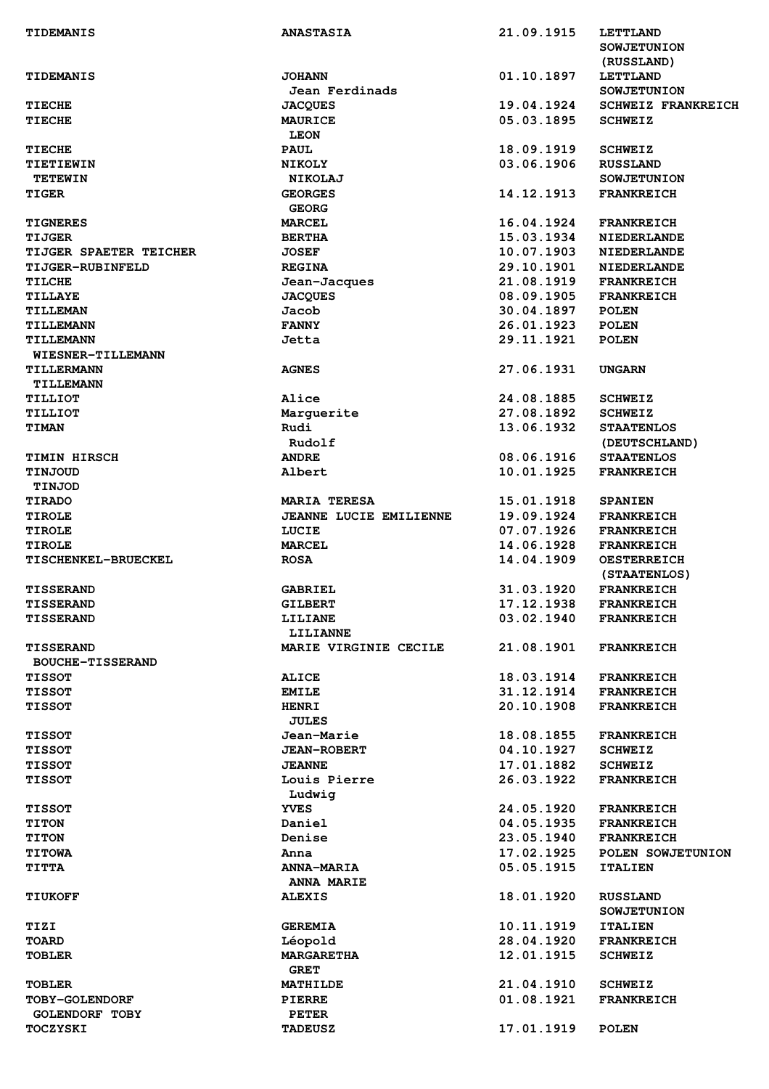| <b>TIDEMANIS</b>                  | <b>ANASTASIA</b>               | 21.09.1915 | <b>LETTLAND</b>           |
|-----------------------------------|--------------------------------|------------|---------------------------|
|                                   |                                |            | <b>SOWJETUNION</b>        |
|                                   |                                |            | (RUSSLAND)                |
| <b>TIDEMANIS</b>                  | <b>JOHANN</b>                  | 01.10.1897 | <b>LETTLAND</b>           |
|                                   | Jean Ferdinads                 |            | <b>SOWJETUNION</b>        |
| <b>TIECHE</b>                     | <b>JACQUES</b>                 | 19.04.1924 | <b>SCHWEIZ FRANKREICH</b> |
| <b>TIECHE</b>                     | <b>MAURICE</b>                 | 05.03.1895 | <b>SCHWEIZ</b>            |
|                                   | <b>LEON</b>                    |            |                           |
| <b>TIECHE</b>                     | <b>PAUL</b>                    | 18.09.1919 | <b>SCHWEIZ</b>            |
| TIETIEWIN                         | <b>NIKOLY</b>                  | 03.06.1906 | <b>RUSSLAND</b>           |
| <b>TETEWIN</b>                    | <b>NIKOLAJ</b>                 |            | <b>SOWJETUNION</b>        |
| <b>TIGER</b>                      | <b>GEORGES</b>                 | 14.12.1913 | <b>FRANKREICH</b>         |
|                                   | <b>GEORG</b>                   |            |                           |
| <b>TIGNERES</b>                   | <b>MARCEL</b>                  | 16.04.1924 | <b>FRANKREICH</b>         |
| TIJGER                            | <b>BERTHA</b>                  | 15.03.1934 | <b>NIEDERLANDE</b>        |
| <b>TIJGER SPAETER TEICHER</b>     | <b>JOSEF</b>                   | 10.07.1903 | <b>NIEDERLANDE</b>        |
| <b>TIJGER-RUBINFELD</b>           | <b>REGINA</b>                  | 29.10.1901 | <b>NIEDERLANDE</b>        |
| <b>TILCHE</b>                     | Jean-Jacques                   | 21.08.1919 | <b>FRANKREICH</b>         |
| <b>TILLAYE</b>                    | <b>JACQUES</b>                 | 08.09.1905 | <b>FRANKREICH</b>         |
| <b>TILLEMAN</b>                   | Jacob                          | 30.04.1897 | <b>POLEN</b>              |
| <b>TILLEMANN</b>                  | <b>FANNY</b>                   | 26.01.1923 | <b>POLEN</b>              |
| <b>TILLEMANN</b>                  | Jetta                          | 29.11.1921 | <b>POLEN</b>              |
| WIESNER-TILLEMANN                 |                                |            |                           |
| <b>TILLERMANN</b>                 | <b>AGNES</b>                   | 27.06.1931 | <b>UNGARN</b>             |
| TILLEMANN                         |                                |            |                           |
| TILLIOT                           | Alice                          | 24.08.1885 | <b>SCHWEIZ</b>            |
| TILLIOT                           | Marguerite                     | 27.08.1892 | <b>SCHWEIZ</b>            |
| <b>TIMAN</b>                      | Rudi                           | 13.06.1932 | <b>STAATENLOS</b>         |
|                                   | Rudolf                         |            | (DEUTSCHLAND)             |
| <b>TIMIN HIRSCH</b>               | <b>ANDRE</b>                   | 08.06.1916 | <b>STAATENLOS</b>         |
| TINJOUD                           | Albert                         | 10.01.1925 | <b>FRANKREICH</b>         |
| <b>TINJOD</b>                     |                                |            |                           |
| <b>TIRADO</b>                     | <b>MARIA TERESA</b>            | 15.01.1918 | <b>SPANIEN</b>            |
| <b>TIROLE</b>                     | JEANNE LUCIE EMILIENNE         | 19.09.1924 | <b>FRANKREICH</b>         |
| <b>TIROLE</b>                     | LUCIE                          | 07.07.1926 | <b>FRANKREICH</b>         |
| <b>TIROLE</b>                     | <b>MARCEL</b>                  | 14.06.1928 | <b>FRANKREICH</b>         |
| <b>TISCHENKEL-BRUECKEL</b>        | <b>ROSA</b>                    | 14.04.1909 | <b>OESTERREICH</b>        |
|                                   |                                |            | (STAATENLOS)              |
| <b>TISSERAND</b>                  | <b>GABRIEL</b>                 | 31.03.1920 | <b>FRANKREICH</b>         |
| <b>TISSERAND</b>                  | <b>GILBERT</b>                 | 17.12.1938 | <b>FRANKREICH</b>         |
| <b>TISSERAND</b>                  | LILIANE                        | 03.02.1940 | <b>FRANKREICH</b>         |
|                                   | <b>LILIANNE</b>                |            |                           |
| <b>TISSERAND</b>                  | MARIE VIRGINIE CECILE          | 21.08.1901 | <b>FRANKREICH</b>         |
| <b>BOUCHE-TISSERAND</b>           |                                |            |                           |
| <b>TISSOT</b>                     | <b>ALICE</b>                   | 18.03.1914 | <b>FRANKREICH</b>         |
| <b>TISSOT</b>                     | <b>EMILE</b>                   | 31.12.1914 | <b>FRANKREICH</b>         |
| <b>TISSOT</b>                     | <b>HENRI</b>                   | 20.10.1908 | <b>FRANKREICH</b>         |
|                                   | <b>JULES</b>                   |            |                           |
| <b>TISSOT</b>                     | Jean-Marie                     | 18.08.1855 | <b>FRANKREICH</b>         |
| <b>TISSOT</b>                     | <b>JEAN-ROBERT</b>             | 04.10.1927 | <b>SCHWEIZ</b>            |
| <b>TISSOT</b>                     | <b>JEANNE</b>                  | 17.01.1882 | <b>SCHWEIZ</b>            |
| <b>TISSOT</b>                     | Louis Pierre                   | 26.03.1922 | <b>FRANKREICH</b>         |
|                                   | Ludwig                         |            |                           |
| <b>TISSOT</b>                     | <b>YVES</b>                    | 24.05.1920 | <b>FRANKREICH</b>         |
| <b>TITON</b>                      | Daniel                         | 04.05.1935 | <b>FRANKREICH</b>         |
| <b>TITON</b>                      | Denise                         | 23.05.1940 | <b>FRANKREICH</b>         |
| <b>TITOWA</b>                     | Anna                           | 17.02.1925 | POLEN SOWJETUNION         |
| <b>TITTA</b>                      | <b>ANNA-MARIA</b>              | 05.05.1915 | <b>ITALIEN</b>            |
|                                   | <b>ANNA MARIE</b>              |            |                           |
| <b>TIUKOFF</b>                    | <b>ALEXIS</b>                  | 18.01.1920 | <b>RUSSLAND</b>           |
|                                   |                                |            | <b>SOWJETUNION</b>        |
| TIZI                              |                                |            |                           |
|                                   |                                |            |                           |
|                                   | <b>GEREMIA</b>                 | 10.11.1919 | <b>ITALIEN</b>            |
| <b>TOARD</b>                      | Léopold                        | 28.04.1920 | <b>FRANKREICH</b>         |
| <b>TOBLER</b>                     | <b>MARGARETHA</b>              | 12.01.1915 | <b>SCHWEIZ</b>            |
|                                   | <b>GRET</b>                    |            |                           |
| <b>TOBLER</b>                     | <b>MATHILDE</b>                | 21.04.1910 | <b>SCHWEIZ</b>            |
| <b>TOBY-GOLENDORF</b>             | <b>PIERRE</b>                  | 01.08.1921 | <b>FRANKREICH</b>         |
| <b>GOLENDORF TOBY</b><br>TOCZYSKI | <b>PETER</b><br><b>TADEUSZ</b> | 17.01.1919 | <b>POLEN</b>              |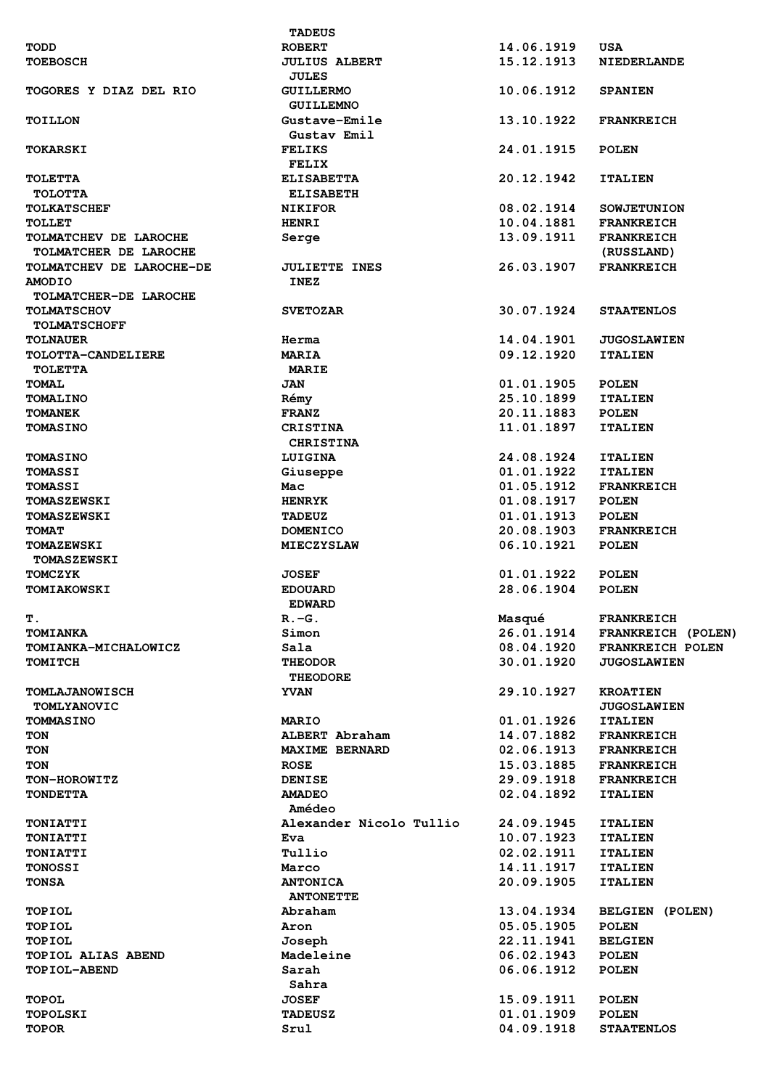|                           | <b>TADEUS</b>           |            |                        |
|---------------------------|-------------------------|------------|------------------------|
| TODD                      | <b>ROBERT</b>           | 14.06.1919 | <b>USA</b>             |
| <b>TOEBOSCH</b>           | <b>JULIUS ALBERT</b>    | 15.12.1913 | <b>NIEDERLANDE</b>     |
|                           | <b>JULES</b>            |            |                        |
| TOGORES Y DIAZ DEL RIO    | <b>GUILLERMO</b>        | 10.06.1912 | <b>SPANIEN</b>         |
|                           |                         |            |                        |
|                           | <b>GUILLEMNO</b>        |            |                        |
| <b>TOILLON</b>            | Gustave-Emile           | 13.10.1922 | <b>FRANKREICH</b>      |
|                           | Gustav Emil             |            |                        |
| <b>TOKARSKI</b>           | <b>FELIKS</b>           | 24.01.1915 | <b>POLEN</b>           |
|                           | <b>FELIX</b>            |            |                        |
| <b>TOLETTA</b>            | <b>ELISABETTA</b>       | 20.12.1942 | <b>ITALIEN</b>         |
| <b>TOLOTTA</b>            | <b>ELISABETH</b>        |            |                        |
|                           |                         |            |                        |
| <b>TOLKATSCHEF</b>        | <b>NIKIFOR</b>          | 08.02.1914 | <b>SOWJETUNION</b>     |
| TOLLET                    | <b>HENRI</b>            | 10.04.1881 | <b>FRANKREICH</b>      |
| TOLMATCHEV DE LAROCHE     | Serge                   | 13.09.1911 | <b>FRANKREICH</b>      |
| TOLMATCHER DE LAROCHE     |                         |            | (RUSSLAND)             |
| TOLMATCHEV DE LAROCHE-DE  | <b>JULIETTE INES</b>    | 26.03.1907 | <b>FRANKREICH</b>      |
| <b>AMODIO</b>             | <b>INEZ</b>             |            |                        |
|                           |                         |            |                        |
| TOLMATCHER-DE LAROCHE     |                         |            |                        |
| <b>TOLMATSCHOV</b>        | <b>SVETOZAR</b>         | 30.07.1924 | <b>STAATENLOS</b>      |
| <b>TOLMATSCHOFF</b>       |                         |            |                        |
| <b>TOLNAUER</b>           | Herma                   | 14.04.1901 | <b>JUGOSLAWIEN</b>     |
| TOLOTTA-CANDELIERE        | <b>MARIA</b>            | 09.12.1920 | <b>ITALIEN</b>         |
|                           |                         |            |                        |
| <b>TOLETTA</b>            | <b>MARIE</b>            |            |                        |
| <b>TOMAL</b>              | <b>JAN</b>              | 01.01.1905 | <b>POLEN</b>           |
| <b>TOMALINO</b>           | Rémy                    | 25.10.1899 | <b>ITALIEN</b>         |
| <b>TOMANEK</b>            | <b>FRANZ</b>            | 20.11.1883 | <b>POLEN</b>           |
| <b>TOMASINO</b>           | <b>CRISTINA</b>         | 11.01.1897 | <b>ITALIEN</b>         |
|                           | <b>CHRISTINA</b>        |            |                        |
|                           |                         |            |                        |
| <b>TOMASINO</b>           | LUIGINA                 | 24.08.1924 | <b>ITALIEN</b>         |
| <b>TOMASSI</b>            | Giuseppe                | 01.01.1922 | <b>ITALIEN</b>         |
| <b>TOMASSI</b>            | Mac                     | 01.05.1912 | <b>FRANKREICH</b>      |
| <b>TOMASZEWSKI</b>        | <b>HENRYK</b>           | 01.08.1917 | <b>POLEN</b>           |
| <b>TOMASZEWSKI</b>        | <b>TADEUZ</b>           | 01.01.1913 | <b>POLEN</b>           |
|                           |                         | 20.08.1903 | <b>FRANKREICH</b>      |
| <b>TOMAT</b>              | <b>DOMENICO</b>         |            |                        |
| <b>TOMAZEWSKI</b>         | <b>MIECZYSLAW</b>       | 06.10.1921 | <b>POLEN</b>           |
| <b>TOMASZEWSKI</b>        |                         |            |                        |
| <b>TOMCZYK</b>            | <b>JOSEF</b>            | 01.01.1922 | <b>POLEN</b>           |
| <b>TOMIAKOWSKI</b>        | <b>EDOUARD</b>          | 28.06.1904 | <b>POLEN</b>           |
|                           | <b>EDWARD</b>           |            |                        |
|                           |                         |            |                        |
| Т.                        | $R - G$ .               | Masqué     | <b>FRANKREICH</b>      |
| <b>TOMIANKA</b>           | Simon                   | 26.01.1914 | FRANKREICH (POLEN)     |
| TOMIANKA-MICHALOWICZ      | Sala                    | 08.04.1920 | FRANKREICH POLEN       |
| <b>TOMITCH</b>            | <b>THEODOR</b>          | 30.01.1920 | <b>JUGOSLAWIEN</b>     |
|                           | <b>THEODORE</b>         |            |                        |
| <b>TOMLAJANOWISCH</b>     | <b>YVAN</b>             | 29.10.1927 | <b>KROATIEN</b>        |
|                           |                         |            |                        |
| <b>TOMLYANOVIC</b>        |                         |            | <b>JUGOSLAWIEN</b>     |
| <b>TOMMASINO</b>          | <b>MARIO</b>            | 01.01.1926 | <b>ITALIEN</b>         |
| TON                       | ALBERT Abraham          | 14.07.1882 | <b>FRANKREICH</b>      |
| TON                       | <b>MAXIME BERNARD</b>   | 02.06.1913 | <b>FRANKREICH</b>      |
| TON                       | <b>ROSE</b>             | 15.03.1885 | <b>FRANKREICH</b>      |
| TON-HOROWITZ              | <b>DENISE</b>           | 29.09.1918 | <b>FRANKREICH</b>      |
|                           |                         |            |                        |
| <b>TONDETTA</b>           | <b>AMADEO</b>           | 02.04.1892 | <b>ITALIEN</b>         |
|                           | Amédeo                  |            |                        |
| <b>TONIATTI</b>           | Alexander Nicolo Tullio | 24.09.1945 | <b>ITALIEN</b>         |
| TONIATTI                  | <b>Eva</b>              | 10.07.1923 | <b>ITALIEN</b>         |
| <b>TONIATTI</b>           | Tullio                  | 02.02.1911 | <b>ITALIEN</b>         |
|                           |                         |            |                        |
| <b>TONOSSI</b>            | Marco                   | 14.11.1917 | <b>ITALIEN</b>         |
| <b>TONSA</b>              | <b>ANTONICA</b>         | 20.09.1905 | <b>ITALIEN</b>         |
|                           | <b>ANTONETTE</b>        |            |                        |
| TOPIOL                    | Abraham                 | 13.04.1934 | <b>BELGIEN (POLEN)</b> |
| <b>TOPIOL</b>             | Aron                    | 05.05.1905 | <b>POLEN</b>           |
|                           |                         | 22.11.1941 |                        |
| <b>TOPIOL</b>             | Joseph                  |            | <b>BELGIEN</b>         |
| <b>TOPIOL ALIAS ABEND</b> | Madeleine               | 06.02.1943 | <b>POLEN</b>           |
| TOPIOL-ABEND              | Sarah                   | 06.06.1912 | <b>POLEN</b>           |
|                           | Sahra                   |            |                        |
| <b>TOPOL</b>              | <b>JOSEF</b>            | 15.09.1911 | <b>POLEN</b>           |
| <b>TOPOLSKI</b>           | <b>TADEUSZ</b>          | 01.01.1909 | <b>POLEN</b>           |
|                           |                         |            |                        |
| <b>TOPOR</b>              | Srul                    | 04.09.1918 | <b>STAATENLOS</b>      |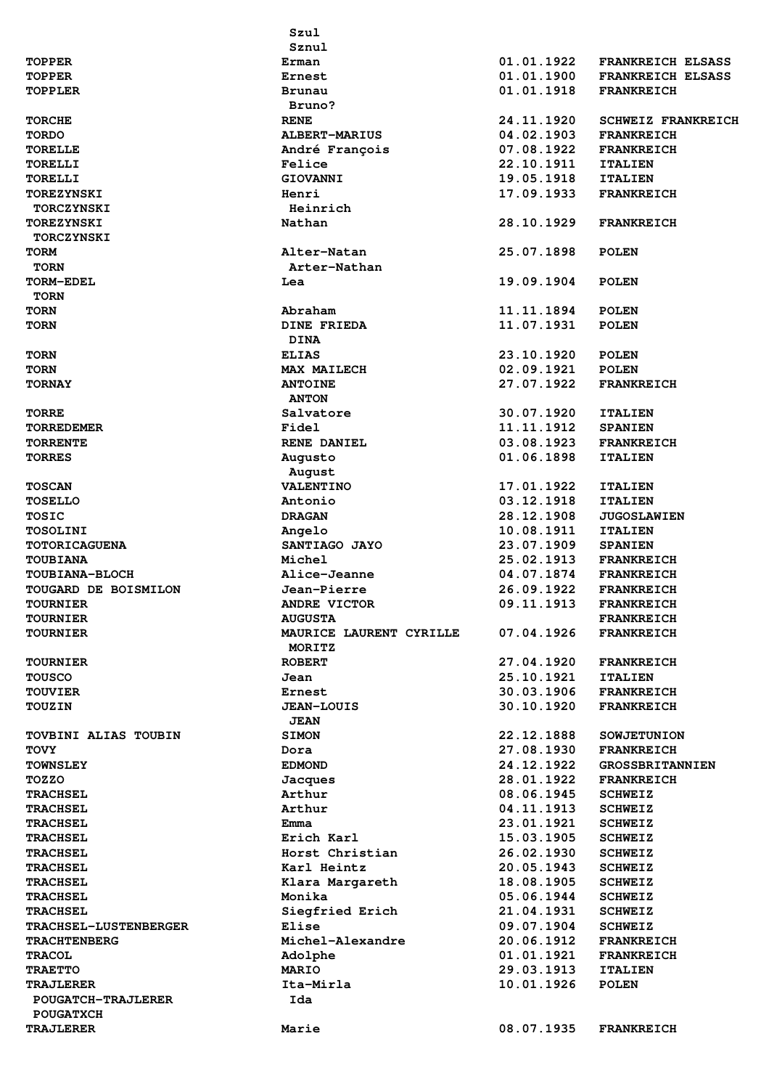|                             | Szul                    |            |                           |
|-----------------------------|-------------------------|------------|---------------------------|
|                             | Sznul                   |            |                           |
| <b>TOPPER</b>               | Erman                   | 01.01.1922 | <b>FRANKREICH ELSASS</b>  |
| <b>TOPPER</b>               | Ernest                  | 01.01.1900 | <b>FRANKREICH ELSASS</b>  |
| <b>TOPPLER</b>              | <b>Brunau</b>           | 01.01.1918 | <b>FRANKREICH</b>         |
|                             | Bruno?                  |            |                           |
| <b>TORCHE</b>               | <b>RENE</b>             | 24.11.1920 | <b>SCHWEIZ FRANKREICH</b> |
| <b>TORDO</b>                | <b>ALBERT-MARIUS</b>    | 04.02.1903 | <b>FRANKREICH</b>         |
| <b>TORELLE</b>              | André François          | 07.08.1922 | <b>FRANKREICH</b>         |
| <b>TORELLI</b>              | Felice                  | 22.10.1911 | <b>ITALIEN</b>            |
| <b>TORELLI</b>              | <b>GIOVANNI</b>         | 19.05.1918 | <b>ITALIEN</b>            |
| <b>TOREZYNSKI</b>           | Henri                   | 17.09.1933 | <b>FRANKREICH</b>         |
| <b>TORCZYNSKI</b>           | Heinrich                |            |                           |
| <b>TOREZYNSKI</b>           | Nathan                  | 28.10.1929 | <b>FRANKREICH</b>         |
| <b>TORCZYNSKI</b>           |                         |            |                           |
| <b>TORM</b>                 | Alter-Natan             | 25.07.1898 | <b>POLEN</b>              |
| <b>TORN</b>                 | Arter-Nathan            |            |                           |
| TORM-EDEL                   | Lea                     | 19.09.1904 | <b>POLEN</b>              |
| <b>TORN</b>                 |                         |            |                           |
| <b>TORN</b>                 | Abraham                 | 11.11.1894 | <b>POLEN</b>              |
| <b>TORN</b>                 | <b>DINE FRIEDA</b>      | 11.07.1931 | <b>POLEN</b>              |
|                             | <b>DINA</b>             |            |                           |
| <b>TORN</b>                 | <b>ELIAS</b>            | 23.10.1920 | <b>POLEN</b>              |
| <b>TORN</b>                 | <b>MAX MAILECH</b>      | 02.09.1921 | <b>POLEN</b>              |
| <b>TORNAY</b>               | <b>ANTOINE</b>          | 27.07.1922 | <b>FRANKREICH</b>         |
|                             | <b>ANTON</b>            |            |                           |
| <b>TORRE</b>                | Salvatore               | 30.07.1920 | <b>ITALIEN</b>            |
| <b>TORREDEMER</b>           | Fidel                   | 11.11.1912 | <b>SPANIEN</b>            |
| <b>TORRENTE</b>             | <b>RENE DANIEL</b>      | 03.08.1923 | <b>FRANKREICH</b>         |
| <b>TORRES</b>               |                         | 01.06.1898 | <b>ITALIEN</b>            |
|                             | Augusto                 |            |                           |
|                             | August                  |            |                           |
| <b>TOSCAN</b>               | <b>VALENTINO</b>        | 17.01.1922 | <b>ITALIEN</b>            |
| <b>TOSELLO</b>              | Antonio                 | 03.12.1918 | <b>ITALIEN</b>            |
| <b>TOSIC</b>                | <b>DRAGAN</b>           | 28.12.1908 | <b>JUGOSLAWIEN</b>        |
| TOSOLINI                    | Angelo                  | 10.08.1911 | <b>ITALIEN</b>            |
| <b>TOTORICAGUENA</b>        | SANTIAGO JAYO           | 23.07.1909 | <b>SPANIEN</b>            |
| <b>TOUBIANA</b>             | Michel                  | 25.02.1913 | <b>FRANKREICH</b>         |
| <b>TOUBIANA-BLOCH</b>       | Alice-Jeanne            | 04.07.1874 | <b>FRANKREICH</b>         |
| <b>TOUGARD DE BOISMILON</b> | Jean-Pierre             | 26.09.1922 | <b>FRANKREICH</b>         |
| <b>TOURNIER</b>             | ANDRE VICTOR            | 09.11.1913 | <b>FRANKREICH</b>         |
| <b>TOURNIER</b>             | <b>AUGUSTA</b>          |            | <b>FRANKREICH</b>         |
| <b>TOURNIER</b>             | MAURICE LAURENT CYRILLE | 07.04.1926 | <b>FRANKREICH</b>         |
|                             | MORITZ                  |            |                           |
| <b>TOURNIER</b>             | <b>ROBERT</b>           | 27.04.1920 | <b>FRANKREICH</b>         |
| <b>TOUSCO</b>               | Jean                    | 25.10.1921 | <b>ITALIEN</b>            |
| <b>TOUVIER</b>              | Ernest                  | 30.03.1906 | <b>FRANKREICH</b>         |
| <b>TOUZIN</b>               | <b>JEAN-LOUIS</b>       | 30.10.1920 | <b>FRANKREICH</b>         |
|                             | <b>JEAN</b>             |            |                           |
| <b>TOVBINI ALIAS TOUBIN</b> | <b>SIMON</b>            | 22.12.1888 | <b>SOWJETUNION</b>        |
| <b>TOVY</b>                 | Dora                    | 27.08.1930 | <b>FRANKREICH</b>         |
| <b>TOWNSLEY</b>             | <b>EDMOND</b>           | 24.12.1922 | <b>GROSSBRITANNIEN</b>    |
| TOZZO                       | Jacques                 | 28.01.1922 | <b>FRANKREICH</b>         |
| <b>TRACHSEL</b>             | Arthur                  | 08.06.1945 | <b>SCHWEIZ</b>            |
| <b>TRACHSEL</b>             | Arthur                  | 04.11.1913 | <b>SCHWEIZ</b>            |
| <b>TRACHSEL</b>             | Emma                    | 23.01.1921 | <b>SCHWEIZ</b>            |
| <b>TRACHSEL</b>             | Erich Karl              | 15.03.1905 | <b>SCHWEIZ</b>            |
| <b>TRACHSEL</b>             | Horst Christian         | 26.02.1930 | <b>SCHWEIZ</b>            |
| <b>TRACHSEL</b>             | Karl Heintz             | 20.05.1943 | <b>SCHWEIZ</b>            |
| <b>TRACHSEL</b>             | Klara Margareth         | 18.08.1905 | <b>SCHWEIZ</b>            |
| <b>TRACHSEL</b>             | Monika                  | 05.06.1944 | <b>SCHWEIZ</b>            |
| <b>TRACHSEL</b>             | Siegfried Erich         | 21.04.1931 | <b>SCHWEIZ</b>            |
| TRACHSEL-LUSTENBERGER       | Elise                   | 09.07.1904 | <b>SCHWEIZ</b>            |
| <b>TRACHTENBERG</b>         | Michel-Alexandre        | 20.06.1912 | <b>FRANKREICH</b>         |
| <b>TRACOL</b>               | Adolphe                 | 01.01.1921 | <b>FRANKREICH</b>         |
| <b>TRAETTO</b>              | <b>MARIO</b>            | 29.03.1913 | <b>ITALIEN</b>            |
| <b>TRAJLERER</b>            | Ita-Mirla               | 10.01.1926 | <b>POLEN</b>              |
| <b>POUGATCH-TRAJLERER</b>   | Ida                     |            |                           |
| <b>POUGATXCH</b>            |                         |            |                           |
| <b>TRAJLERER</b>            | Marie                   | 08.07.1935 | <b>FRANKREICH</b>         |
|                             |                         |            |                           |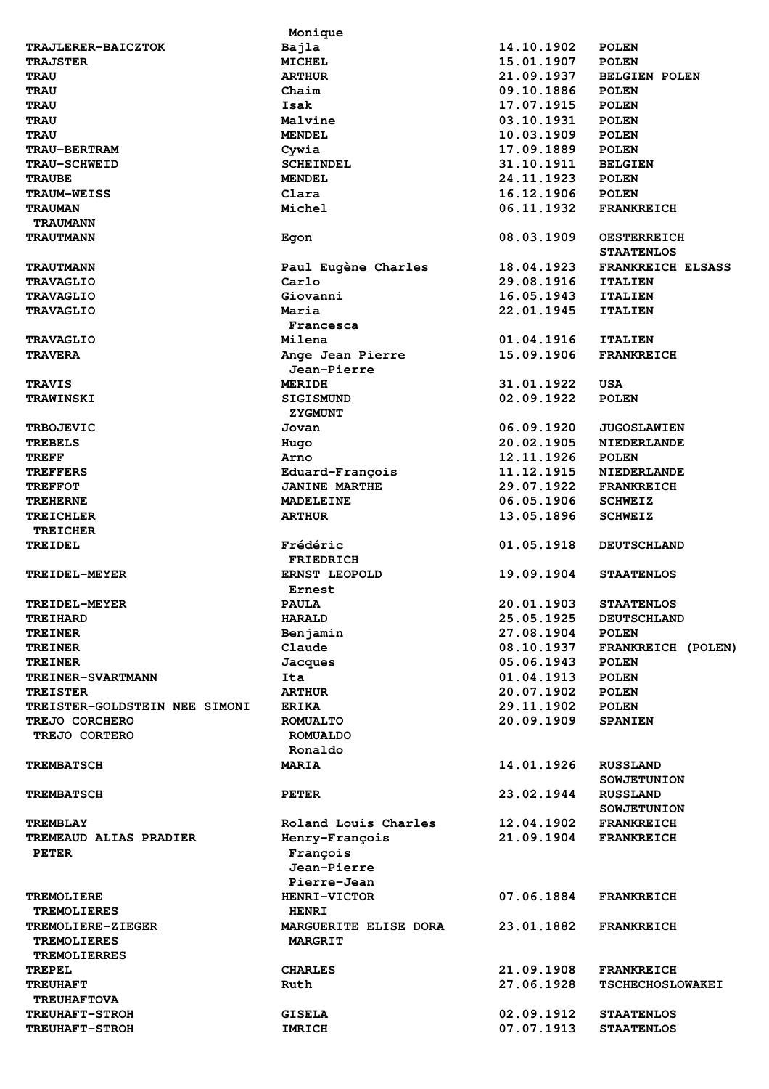|                                  | Monique                      |                          |                                              |
|----------------------------------|------------------------------|--------------------------|----------------------------------------------|
| <b>TRAJLERER-BAICZTOK</b>        | Bajla                        | 14.10.1902               | <b>POLEN</b>                                 |
| <b>TRAJSTER</b>                  | <b>MICHEL</b>                | 15.01.1907               | <b>POLEN</b>                                 |
| <b>TRAU</b>                      | <b>ARTHUR</b>                | 21.09.1937               | <b>BELGIEN POLEN</b>                         |
| <b>TRAU</b>                      | Chaim                        | 09.10.1886               | <b>POLEN</b>                                 |
| <b>TRAU</b>                      | Isak                         | 17.07.1915               | <b>POLEN</b>                                 |
| <b>TRAU</b>                      | Malvine                      | 03.10.1931               | <b>POLEN</b>                                 |
| <b>TRAU</b>                      | <b>MENDEL</b>                | 10.03.1909               | <b>POLEN</b>                                 |
| <b>TRAU-BERTRAM</b>              | Cywia                        | 17.09.1889               | <b>POLEN</b>                                 |
| <b>TRAU-SCHWEID</b>              | <b>SCHEINDEL</b>             | 31.10.1911               | <b>BELGIEN</b>                               |
| <b>TRAUBE</b>                    | <b>MENDEL</b>                | 24.11.1923               | <b>POLEN</b>                                 |
| <b>TRAUM-WEISS</b>               | Clara                        | 16.12.1906               | <b>POLEN</b>                                 |
| <b>TRAUMAN</b>                   | Michel                       | 06.11.1932               | <b>FRANKREICH</b>                            |
| <b>TRAUMANN</b>                  |                              |                          |                                              |
| <b>TRAUTMANN</b>                 | Egon                         | 08.03.1909               | <b>OESTERREICH</b>                           |
|                                  |                              |                          | <b>STAATENLOS</b>                            |
| <b>TRAUTMANN</b>                 | Paul Eugène Charles          | 18.04.1923               | <b>FRANKREICH ELSASS</b>                     |
| <b>TRAVAGLIO</b>                 | Carlo                        | 29.08.1916               | <b>ITALIEN</b>                               |
| <b>TRAVAGLIO</b>                 | Giovanni                     | 16.05.1943               | <b>ITALIEN</b>                               |
| <b>TRAVAGLIO</b>                 | Maria                        | 22.01.1945               | <b>ITALIEN</b>                               |
|                                  | Francesca                    |                          |                                              |
| <b>TRAVAGLIO</b>                 | Milena                       | 01.04.1916               | <b>ITALIEN</b>                               |
| <b>TRAVERA</b>                   | Ange Jean Pierre             | 15.09.1906               | <b>FRANKREICH</b>                            |
|                                  | Jean-Pierre                  |                          |                                              |
| <b>TRAVIS</b>                    | <b>MERIDH</b>                | 31.01.1922               | USA                                          |
| <b>TRAWINSKI</b>                 | <b>SIGISMUND</b>             | 02.09.1922               | <b>POLEN</b>                                 |
|                                  | <b>ZYGMUNT</b>               |                          |                                              |
| <b>TRBOJEVIC</b>                 | Jovan                        | 06.09.1920               | <b>JUGOSLAWIEN</b>                           |
| <b>TREBELS</b>                   | Hugo                         | 20.02.1905               | <b>NIEDERLANDE</b>                           |
| <b>TREFF</b>                     | Arno                         | 12.11.1926               | <b>POLEN</b>                                 |
| <b>TREFFERS</b>                  | Eduard-François              | 11.12.1915               | <b>NIEDERLANDE</b>                           |
| <b>TREFFOT</b>                   | <b>JANINE MARTHE</b>         | 29.07.1922               | <b>FRANKREICH</b>                            |
| <b>TREHERNE</b>                  | <b>MADELEINE</b>             | 06.05.1906               | <b>SCHWEIZ</b>                               |
| <b>TREICHLER</b>                 | <b>ARTHUR</b>                | 13.05.1896               | <b>SCHWEIZ</b>                               |
| <b>TREICHER</b>                  |                              |                          |                                              |
| TREIDEL                          | Frédéric                     | 01.05.1918               | <b>DEUTSCHLAND</b>                           |
|                                  | <b>FRIEDRICH</b>             |                          |                                              |
| TREIDEL-MEYER                    | <b>ERNST LEOPOLD</b>         | 19.09.1904               | <b>STAATENLOS</b>                            |
|                                  | Ernest                       |                          |                                              |
| <b>TREIDEL-MEYER</b>             | <b>PAULA</b>                 | 20.01.1903               | <b>STAATENLOS</b>                            |
| TREIHARD                         | <b>HARALD</b>                | 25.05.1925               | <b>DEUTSCHLAND</b>                           |
| <b>TREINER</b>                   | Benjamin                     | 27.08.1904               | <b>POLEN</b>                                 |
| <b>TREINER</b>                   | Claude                       | 08.10.1937               | FRANKREICH (POLEN)                           |
| <b>TREINER</b>                   | Jacques                      | 05.06.1943               | <b>POLEN</b>                                 |
| <b>TREINER-SVARTMANN</b>         | Ita.                         | 01.04.1913               | <b>POLEN</b>                                 |
| <b>TREISTER</b>                  | <b>ARTHUR</b>                | 20.07.1902               | <b>POLEN</b>                                 |
| TREISTER-GOLDSTEIN NEE SIMONI    | <b>ERIKA</b>                 | 29.11.1902               | <b>POLEN</b>                                 |
| TREJO CORCHERO                   | <b>ROMUALTO</b>              | 20.09.1909               | <b>SPANIEN</b>                               |
| TREJO CORTERO                    | <b>ROMUALDO</b>              |                          |                                              |
|                                  | Ronaldo                      |                          |                                              |
| <b>TREMBATSCH</b>                | <b>MARIA</b>                 | 14.01.1926               | <b>RUSSLAND</b>                              |
|                                  |                              |                          | <b>SOWJETUNION</b>                           |
| <b>TREMBATSCH</b>                | <b>PETER</b>                 | 23.02.1944               | <b>RUSSLAND</b>                              |
|                                  |                              |                          | <b>SOWJETUNION</b>                           |
| <b>TREMBLAY</b>                  | Roland Louis Charles         | 12.04.1902               | <b>FRANKREICH</b>                            |
| TREMEAUD ALIAS PRADIER           | Henry-François               | 21.09.1904               | <b>FRANKREICH</b>                            |
| <b>PETER</b>                     | François                     |                          |                                              |
|                                  | Jean-Pierre                  |                          |                                              |
|                                  | Pierre-Jean                  |                          |                                              |
| <b>TREMOLIERE</b>                | <b>HENRI-VICTOR</b>          | 07.06.1884               | <b>FRANKREICH</b>                            |
| <b>TREMOLIERES</b>               | <b>HENRI</b>                 |                          |                                              |
| TREMOLIERE-ZIEGER                | <b>MARGUERITE ELISE DORA</b> | 23.01.1882               | <b>FRANKREICH</b>                            |
|                                  | MARGRIT                      |                          |                                              |
| <b>TREMOLIERES</b>               |                              |                          |                                              |
| <b>TREMOLIERRES</b>              |                              |                          |                                              |
| <b>TREPEL</b><br><b>TREUHAFT</b> | <b>CHARLES</b><br>Ruth       | 21.09.1908<br>27.06.1928 | <b>FRANKREICH</b><br><b>TSCHECHOSLOWAKEI</b> |
| <b>TREUHAFTOVA</b>               |                              |                          |                                              |
| <b>TREUHAFT-STROH</b>            | <b>GISELA</b>                | 02.09.1912               |                                              |
| TREUHAFT-STROH                   | <b>IMRICH</b>                | 07.07.1913               | <b>STAATENLOS</b><br><b>STAATENLOS</b>       |
|                                  |                              |                          |                                              |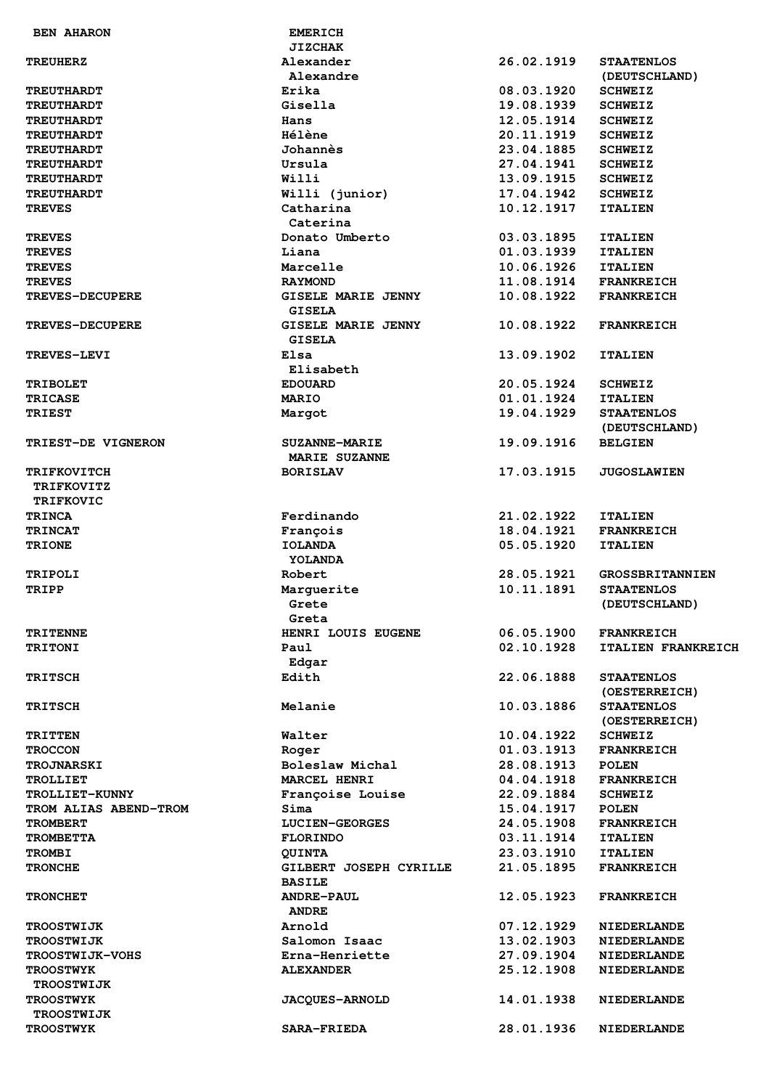| <b>BEN AHARON</b>      | <b>EMERICH</b>            |            |                           |
|------------------------|---------------------------|------------|---------------------------|
|                        | <b>JIZCHAK</b>            |            |                           |
| <b>TREUHERZ</b>        | Alexander                 | 26.02.1919 | <b>STAATENLOS</b>         |
|                        | Alexandre                 |            | (DEUTSCHLAND)             |
| <b>TREUTHARDT</b>      | Erika                     | 08.03.1920 | <b>SCHWEIZ</b>            |
| <b>TREUTHARDT</b>      | Gisella                   | 19.08.1939 | <b>SCHWEIZ</b>            |
| <b>TREUTHARDT</b>      | Hans                      | 12.05.1914 | <b>SCHWEIZ</b>            |
| <b>TREUTHARDT</b>      | Hélène                    | 20.11.1919 | <b>SCHWEIZ</b>            |
| <b>TREUTHARDT</b>      | Johannès                  | 23.04.1885 | <b>SCHWEIZ</b>            |
| <b>TREUTHARDT</b>      | Ursula                    | 27.04.1941 | <b>SCHWEIZ</b>            |
| <b>TREUTHARDT</b>      | Willi                     | 13.09.1915 | <b>SCHWEIZ</b>            |
| <b>TREUTHARDT</b>      | Willi (junior)            | 17.04.1942 | <b>SCHWEIZ</b>            |
| <b>TREVES</b>          | Catharina                 | 10.12.1917 | <b>ITALIEN</b>            |
|                        | Caterina                  |            |                           |
| <b>TREVES</b>          | Donato Umberto            | 03.03.1895 | <b>ITALIEN</b>            |
| TREVES                 | Liana                     | 01.03.1939 | <b>ITALIEN</b>            |
| <b>TREVES</b>          | Marcelle                  | 10.06.1926 | <b>ITALIEN</b>            |
| <b>TREVES</b>          | <b>RAYMOND</b>            | 11.08.1914 | <b>FRANKREICH</b>         |
| <b>TREVES-DECUPERE</b> | <b>GISELE MARIE JENNY</b> | 10.08.1922 | <b>FRANKREICH</b>         |
|                        | <b>GISELA</b>             |            |                           |
| <b>TREVES-DECUPERE</b> | <b>GISELE MARIE JENNY</b> | 10.08.1922 | <b>FRANKREICH</b>         |
|                        | <b>GISELA</b>             |            |                           |
| <b>TREVES-LEVI</b>     | Elsa                      | 13.09.1902 | <b>ITALIEN</b>            |
|                        | Elisabeth                 |            |                           |
| <b>TRIBOLET</b>        | <b>EDOUARD</b>            | 20.05.1924 | <b>SCHWEIZ</b>            |
|                        | <b>MARIO</b>              |            |                           |
| <b>TRICASE</b>         |                           | 01.01.1924 | <b>ITALIEN</b>            |
| <b>TRIEST</b>          | Margot                    | 19.04.1929 | <b>STAATENLOS</b>         |
|                        |                           |            | (DEUTSCHLAND)             |
| TRIEST-DE VIGNERON     | <b>SUZANNE-MARIE</b>      | 19.09.1916 | <b>BELGIEN</b>            |
|                        | <b>MARIE SUZANNE</b>      |            |                           |
| <b>TRIFKOVITCH</b>     | <b>BORISLAV</b>           | 17.03.1915 | <b>JUGOSLAWIEN</b>        |
| <b>TRIFKOVITZ</b>      |                           |            |                           |
| TRIFKOVIC              |                           |            |                           |
| <b>TRINCA</b>          | Ferdinando                | 21.02.1922 | <b>ITALIEN</b>            |
| <b>TRINCAT</b>         | François                  | 18.04.1921 | <b>FRANKREICH</b>         |
| <b>TRIONE</b>          | <b>IOLANDA</b>            | 05.05.1920 | <b>ITALIEN</b>            |
|                        | YOLANDA                   |            |                           |
| <b>TRIPOLI</b>         | Robert                    | 28.05.1921 | <b>GROSSBRITANNIEN</b>    |
| TRIPP                  | Marquerite                | 10.11.1891 | <b>STAATENLOS</b>         |
|                        | Grete                     |            | (DEUTSCHLAND)             |
|                        | Greta                     |            |                           |
| <b>TRITENNE</b>        | HENRI LOUIS EUGENE        | 06.05.1900 | <b>FRANKREICH</b>         |
| <b>TRITONI</b>         | Paul                      | 02.10.1928 | <b>ITALIEN FRANKREICH</b> |
|                        | Edgar                     |            |                           |
| <b>TRITSCH</b>         | Edith                     | 22.06.1888 | <b>STAATENLOS</b>         |
|                        |                           |            | (OESTERREICH)             |
| <b>TRITSCH</b>         | Melanie                   | 10.03.1886 | <b>STAATENLOS</b>         |
|                        |                           |            | (OESTERREICH)             |
| <b>TRITTEN</b>         | Walter                    | 10.04.1922 | <b>SCHWEIZ</b>            |
| <b>TROCCON</b>         | Roger                     | 01.03.1913 | <b>FRANKREICH</b>         |
|                        | Boleslaw Michal           | 28.08.1913 | <b>POLEN</b>              |
| <b>TROJNARSKI</b>      |                           |            |                           |
| <b>TROLLIET</b>        | <b>MARCEL HENRI</b>       | 04.04.1918 | <b>FRANKREICH</b>         |
| TROLLIET-KUNNY         | Françoise Louise          | 22.09.1884 | <b>SCHWEIZ</b>            |
| TROM ALIAS ABEND-TROM  | Sima                      | 15.04.1917 | <b>POLEN</b>              |
| <b>TROMBERT</b>        | <b>LUCIEN-GEORGES</b>     | 24.05.1908 | <b>FRANKREICH</b>         |
| <b>TROMBETTA</b>       | <b>FLORINDO</b>           | 03.11.1914 | <b>ITALIEN</b>            |
| <b>TROMBI</b>          | <b>QUINTA</b>             | 23.03.1910 | <b>ITALIEN</b>            |
| <b>TRONCHE</b>         | GILBERT JOSEPH CYRILLE    | 21.05.1895 | <b>FRANKREICH</b>         |
|                        | <b>BASILE</b>             |            |                           |
| <b>TRONCHET</b>        | <b>ANDRE-PAUL</b>         | 12.05.1923 | <b>FRANKREICH</b>         |
|                        | <b>ANDRE</b>              |            |                           |
| <b>TROOSTWIJK</b>      | Arnold                    | 07.12.1929 | <b>NIEDERLANDE</b>        |
| <b>TROOSTWIJK</b>      | Salomon Isaac             | 13.02.1903 | <b>NIEDERLANDE</b>        |
| <b>TROOSTWIJK-VOHS</b> | Erna-Henriette            | 27.09.1904 | <b>NIEDERLANDE</b>        |
| <b>TROOSTWYK</b>       | <b>ALEXANDER</b>          | 25.12.1908 | <b>NIEDERLANDE</b>        |
| <b>TROOSTWIJK</b>      |                           |            |                           |
| <b>TROOSTWYK</b>       | <b>JACQUES-ARNOLD</b>     | 14.01.1938 | <b>NIEDERLANDE</b>        |
| <b>TROOSTWIJK</b>      |                           |            |                           |
| <b>TROOSTWYK</b>       | <b>SARA-FRIEDA</b>        | 28.01.1936 | <b>NIEDERLANDE</b>        |
|                        |                           |            |                           |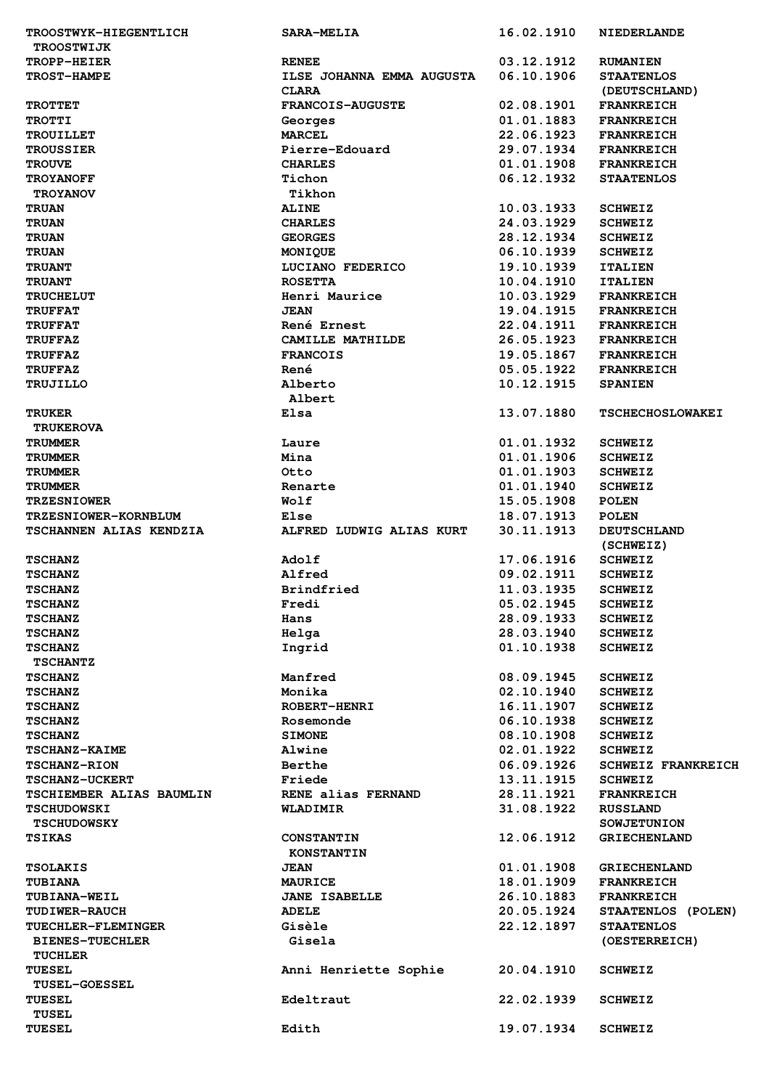| TROOSTWYK-HIEGENTLICH          | <b>SARA-MELIA</b>         | 16.02.1910 | <b>NIEDERLANDE</b>        |
|--------------------------------|---------------------------|------------|---------------------------|
| <b>TROOSTWIJK</b>              |                           |            |                           |
| TROPP-HEIER                    | <b>RENEE</b>              | 03.12.1912 | <b>RUMANIEN</b>           |
| <b>TROST-HAMPE</b>             | ILSE JOHANNA EMMA AUGUSTA | 06.10.1906 | <b>STAATENLOS</b>         |
|                                | <b>CLARA</b>              |            | (DEUTSCHLAND)             |
| <b>TROTTET</b>                 | <b>FRANCOIS-AUGUSTE</b>   | 02.08.1901 | <b>FRANKREICH</b>         |
| <b>TROTTI</b>                  | Georges                   | 01.01.1883 | <b>FRANKREICH</b>         |
| <b>TROUILLET</b>               | <b>MARCEL</b>             | 22.06.1923 | <b>FRANKREICH</b>         |
| <b>TROUSSIER</b>               | Pierre-Edouard            | 29.07.1934 | <b>FRANKREICH</b>         |
| <b>TROUVE</b>                  | <b>CHARLES</b>            | 01.01.1908 | <b>FRANKREICH</b>         |
| <b>TROYANOFF</b>               | Tichon                    | 06.12.1932 | <b>STAATENLOS</b>         |
| <b>TROYANOV</b>                | Tikhon                    |            |                           |
| <b>TRUAN</b>                   | <b>ALINE</b>              | 10.03.1933 | <b>SCHWEIZ</b>            |
| <b>TRUAN</b>                   | <b>CHARLES</b>            | 24.03.1929 | <b>SCHWEIZ</b>            |
| <b>TRUAN</b>                   | <b>GEORGES</b>            | 28.12.1934 | <b>SCHWEIZ</b>            |
| <b>TRUAN</b>                   | MONIQUE                   | 06.10.1939 | <b>SCHWEIZ</b>            |
| <b>TRUANT</b>                  | LUCIANO FEDERICO          | 19.10.1939 | <b>ITALIEN</b>            |
| <b>TRUANT</b>                  | <b>ROSETTA</b>            | 10.04.1910 | <b>ITALIEN</b>            |
| <b>TRUCHELUT</b>               | Henri Maurice             | 10.03.1929 | <b>FRANKREICH</b>         |
| <b>TRUFFAT</b>                 | <b>JEAN</b>               | 19.04.1915 | <b>FRANKREICH</b>         |
| <b>TRUFFAT</b>                 | René Ernest               | 22.04.1911 | <b>FRANKREICH</b>         |
| <b>TRUFFAZ</b>                 | CAMILLE MATHILDE          | 26.05.1923 | <b>FRANKREICH</b>         |
| <b>TRUFFAZ</b>                 | <b>FRANCOIS</b>           | 19.05.1867 | <b>FRANKREICH</b>         |
| <b>TRUFFAZ</b>                 | René                      | 05.05.1922 | <b>FRANKREICH</b>         |
| TRUJILLO                       | Alberto                   | 10.12.1915 | <b>SPANIEN</b>            |
|                                | Albert                    |            |                           |
| <b>TRUKER</b>                  | Elsa                      | 13.07.1880 | <b>TSCHECHOSLOWAKEI</b>   |
| <b>TRUKEROVA</b>               |                           |            |                           |
| <b>TRUMMER</b>                 | Laure                     | 01.01.1932 | <b>SCHWEIZ</b>            |
| <b>TRUMMER</b>                 | Mina                      | 01.01.1906 | <b>SCHWEIZ</b>            |
| <b>TRUMMER</b>                 | Otto                      | 01.01.1903 | <b>SCHWEIZ</b>            |
| <b>TRUMMER</b>                 | Renarte                   | 01.01.1940 | <b>SCHWEIZ</b>            |
| <b>TRZESNIOWER</b>             | Wolf                      | 15.05.1908 | <b>POLEN</b>              |
| TRZESNIOWER-KORNBLUM           | Else                      | 18.07.1913 | <b>POLEN</b>              |
| <b>TSCHANNEN ALIAS KENDZIA</b> | ALFRED LUDWIG ALIAS KURT  | 30.11.1913 | <b>DEUTSCHLAND</b>        |
|                                |                           |            | (SCHWEIZ)                 |
| <b>TSCHANZ</b>                 | Adolf                     | 17.06.1916 | <b>SCHWEIZ</b>            |
| <b>TSCHANZ</b>                 | Alfred                    | 09.02.1911 | <b>SCHWEIZ</b>            |
| <b>TSCHANZ</b>                 | <b>Brindfried</b>         | 11.03.1935 | <b>SCHWEIZ</b>            |
| <b>TSCHANZ</b>                 | Fredi                     | 05.02.1945 | <b>SCHWEIZ</b>            |
| <b>TSCHANZ</b>                 |                           | 28.09.1933 | <b>SCHWEIZ</b>            |
| <b>TSCHANZ</b>                 | Hans<br>Helga             | 28.03.1940 | <b>SCHWEIZ</b>            |
| <b>TSCHANZ</b>                 | Ingrid                    | 01.10.1938 | <b>SCHWEIZ</b>            |
| <b>TSCHANTZ</b>                |                           |            |                           |
|                                |                           |            |                           |
| <b>TSCHANZ</b>                 | Manfred<br>Monika         | 08.09.1945 | <b>SCHWEIZ</b>            |
| <b>TSCHANZ</b>                 |                           | 02.10.1940 | <b>SCHWEIZ</b>            |
| <b>TSCHANZ</b>                 | <b>ROBERT-HENRI</b>       | 16.11.1907 | <b>SCHWEIZ</b>            |
| <b>TSCHANZ</b>                 | Rosemonde                 | 06.10.1938 | <b>SCHWEIZ</b>            |
| <b>TSCHANZ</b>                 | <b>SIMONE</b>             | 08.10.1908 | <b>SCHWEIZ</b>            |
| TSCHANZ-KAIME                  | Alwine                    | 02.01.1922 | <b>SCHWEIZ</b>            |
| <b>TSCHANZ-RION</b>            | Berthe                    | 06.09.1926 | <b>SCHWEIZ FRANKREICH</b> |
| <b>TSCHANZ-UCKERT</b>          | Friede                    | 13.11.1915 | <b>SCHWEIZ</b>            |
| TSCHIEMBER ALIAS BAUMLIN       | RENE alias FERNAND        | 28.11.1921 | <b>FRANKREICH</b>         |
| <b>TSCHUDOWSKI</b>             | WLADIMIR                  | 31.08.1922 | <b>RUSSLAND</b>           |
| <b>TSCHUDOWSKY</b>             |                           |            | <b>SOWJETUNION</b>        |
| <b>TSIKAS</b>                  | <b>CONSTANTIN</b>         | 12.06.1912 | <b>GRIECHENLAND</b>       |
|                                | <b>KONSTANTIN</b>         |            |                           |
| <b>TSOLAKIS</b>                | <b>JEAN</b>               | 01.01.1908 | <b>GRIECHENLAND</b>       |
| <b>TUBIANA</b>                 | <b>MAURICE</b>            | 18.01.1909 | <b>FRANKREICH</b>         |
| <b>TUBIANA-WEIL</b>            | <b>JANE ISABELLE</b>      | 26.10.1883 | <b>FRANKREICH</b>         |
| <b>TUDIWER-RAUCH</b>           | <b>ADELE</b>              | 20.05.1924 | STAATENLOS (POLEN)        |
| <b>TUECHLER-FLEMINGER</b>      | Gisèle                    | 22.12.1897 | <b>STAATENLOS</b>         |
| <b>BIENES-TUECHLER</b>         | Gisela                    |            | (OESTERREICH)             |
| <b>TUCHLER</b>                 |                           |            |                           |
| <b>TUESEL</b>                  | Anni Henriette Sophie     | 20.04.1910 | <b>SCHWEIZ</b>            |
| <b>TUSEL-GOESSEL</b>           |                           |            |                           |
| <b>TUESEL</b>                  | Edeltraut                 | 22.02.1939 | <b>SCHWEIZ</b>            |
| <b>TUSEL</b>                   |                           |            |                           |
| <b>TUESEL</b>                  | Edith                     | 19.07.1934 | <b>SCHWEIZ</b>            |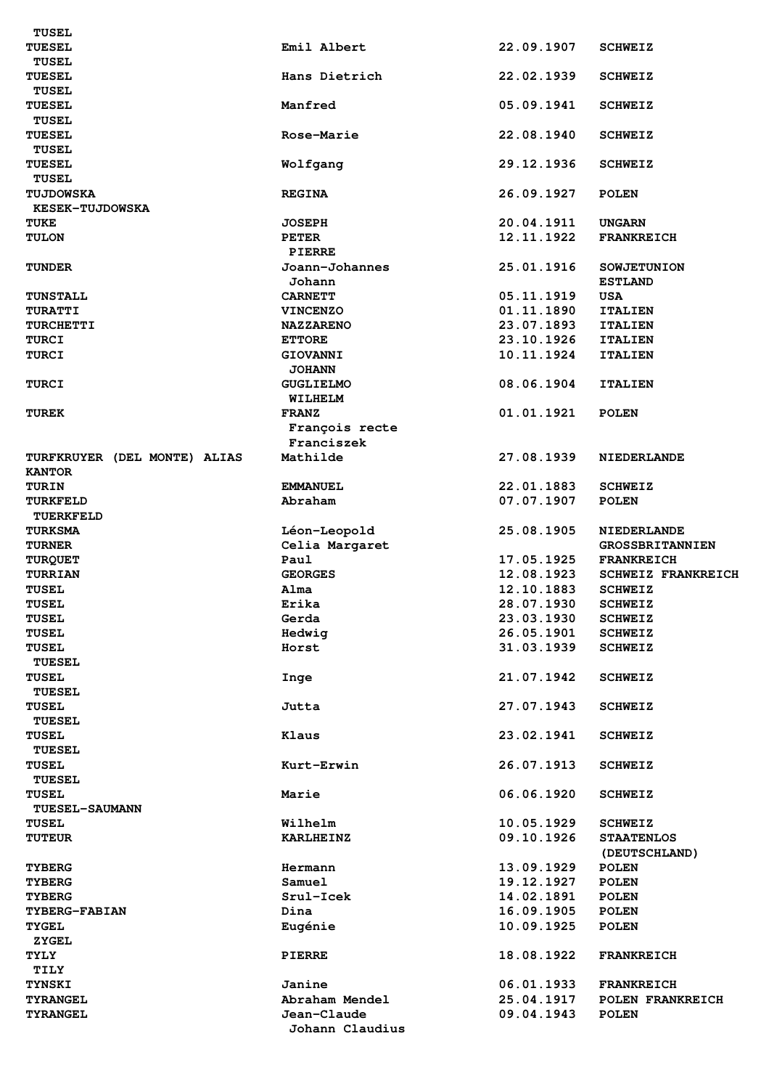| TUESEL                       | Emil Albert      | 22.09.1907 | <b>SCHWEIZ</b>            |
|------------------------------|------------------|------------|---------------------------|
| <b>TUSEL</b>                 |                  |            |                           |
| <b>TUESEL</b>                | Hans Dietrich    | 22.02.1939 | <b>SCHWEIZ</b>            |
| <b>TUSEL</b>                 |                  |            |                           |
|                              |                  |            |                           |
| <b>TUESEL</b>                | Manfred          | 05.09.1941 | <b>SCHWEIZ</b>            |
| <b>TUSEL</b>                 |                  |            |                           |
| <b>TUESEL</b>                | Rose-Marie       | 22.08.1940 | <b>SCHWEIZ</b>            |
| <b>TUSEL</b>                 |                  |            |                           |
| <b>TUESEL</b>                | Wolfgang         | 29.12.1936 | <b>SCHWEIZ</b>            |
| <b>TUSEL</b>                 |                  |            |                           |
|                              |                  |            |                           |
| <b>TUJDOWSKA</b>             | <b>REGINA</b>    | 26.09.1927 | <b>POLEN</b>              |
| <b>KESEK-TUJDOWSKA</b>       |                  |            |                           |
| TUKE                         | <b>JOSEPH</b>    | 20.04.1911 | <b>UNGARN</b>             |
| <b>TULON</b>                 | <b>PETER</b>     | 12.11.1922 | <b>FRANKREICH</b>         |
|                              | <b>PIERRE</b>    |            |                           |
| <b>TUNDER</b>                | Joann-Johannes   | 25.01.1916 | <b>SOWJETUNION</b>        |
|                              |                  |            |                           |
|                              | Johann           |            | <b>ESTLAND</b>            |
| <b>TUNSTALL</b>              | <b>CARNETT</b>   | 05.11.1919 | <b>USA</b>                |
| <b>TURATTI</b>               | <b>VINCENZO</b>  | 01.11.1890 | <b>ITALIEN</b>            |
| <b>TURCHETTI</b>             | <b>NAZZARENO</b> | 23.07.1893 | <b>ITALIEN</b>            |
| <b>TURCI</b>                 | <b>ETTORE</b>    | 23.10.1926 | <b>ITALIEN</b>            |
| <b>TURCI</b>                 |                  | 10.11.1924 |                           |
|                              | <b>GIOVANNI</b>  |            | <b>ITALIEN</b>            |
|                              | <b>JOHANN</b>    |            |                           |
| <b>TURCI</b>                 | <b>GUGLIELMO</b> | 08.06.1904 | <b>ITALIEN</b>            |
|                              | WILHELM          |            |                           |
| <b>TUREK</b>                 | <b>FRANZ</b>     | 01.01.1921 | <b>POLEN</b>              |
|                              | François recte   |            |                           |
|                              | Franciszek       |            |                           |
|                              |                  |            |                           |
| TURFKRUYER (DEL MONTE) ALIAS | Mathilde         | 27.08.1939 | <b>NIEDERLANDE</b>        |
| <b>KANTOR</b>                |                  |            |                           |
| <b>TURIN</b>                 | <b>EMMANUEL</b>  | 22.01.1883 | <b>SCHWEIZ</b>            |
| TURKFELD                     | Abraham          | 07.07.1907 | <b>POLEN</b>              |
| TUERKFELD                    |                  |            |                           |
| <b>TURKSMA</b>               |                  | 25.08.1905 |                           |
|                              | Léon-Leopold     |            | <b>NIEDERLANDE</b>        |
| <b>TURNER</b>                | Celia Margaret   |            | <b>GROSSBRITANNIEN</b>    |
| <b>TURQUET</b>               | Paul             | 17.05.1925 | <b>FRANKREICH</b>         |
| TURRIAN                      | <b>GEORGES</b>   | 12.08.1923 | <b>SCHWEIZ FRANKREICH</b> |
| <b>TUSEL</b>                 | Alma             | 12.10.1883 | <b>SCHWEIZ</b>            |
| TUSEL                        | Erika            | 28.07.1930 | <b>SCHWEIZ</b>            |
|                              |                  |            |                           |
| <b>TUSEL</b>                 | Gerda            | 23.03.1930 | <b>SCHWEIZ</b>            |
| TUSEL                        | Hedwig           | 26.05.1901 | <b>SCHWEIZ</b>            |
| <b>TUSEL</b>                 | Horst            | 31.03.1939 | <b>SCHWEIZ</b>            |
| <b>TUESEL</b>                |                  |            |                           |
| TUSEL                        | Inge             |            |                           |
|                              |                  |            |                           |
|                              |                  | 21.07.1942 | <b>SCHWEIZ</b>            |
| <b>TUESEL</b>                |                  |            |                           |
| <b>TUSEL</b>                 | Jutta            | 27.07.1943 | <b>SCHWEIZ</b>            |
| <b>TUESEL</b>                |                  |            |                           |
| TUSEL                        | Klaus            | 23.02.1941 | <b>SCHWEIZ</b>            |
|                              |                  |            |                           |
| <b>TUESEL</b>                |                  |            |                           |
| TUSEL                        | Kurt-Erwin       | 26.07.1913 | <b>SCHWEIZ</b>            |
| <b>TUESEL</b>                |                  |            |                           |
| <b>TUSEL</b>                 | Marie            | 06.06.1920 | <b>SCHWEIZ</b>            |
| TUESEL-SAUMANN               |                  |            |                           |
| <b>TUSEL</b>                 | Wilhelm          | 10.05.1929 | <b>SCHWEIZ</b>            |
|                              |                  |            |                           |
| <b>TUTEUR</b>                | <b>KARLHEINZ</b> | 09.10.1926 | <b>STAATENLOS</b>         |
|                              |                  |            | (DEUTSCHLAND)             |
| <b>TYBERG</b>                | Hermann          | 13.09.1929 | <b>POLEN</b>              |
| <b>TYBERG</b>                | Samuel           | 19.12.1927 | <b>POLEN</b>              |
| <b>TYBERG</b>                | Srul-Icek        | 14.02.1891 | <b>POLEN</b>              |
| <b>TYBERG-FABIAN</b>         | Dina             | 16.09.1905 | <b>POLEN</b>              |
| <b>TYGEL</b>                 |                  |            |                           |
|                              | Eugénie          | 10.09.1925 | <b>POLEN</b>              |
| <b>ZYGEL</b>                 |                  |            |                           |
| <b>TYLY</b>                  | <b>PIERRE</b>    | 18.08.1922 | <b>FRANKREICH</b>         |
| TILY                         |                  |            |                           |
| <b>TYNSKI</b>                | Janine           | 06.01.1933 | <b>FRANKREICH</b>         |
| <b>TYRANGEL</b>              | Abraham Mendel   | 25.04.1917 | POLEN FRANKREICH          |
| <b>TYRANGEL</b>              | Jean-Claude      | 09.04.1943 | <b>POLEN</b>              |